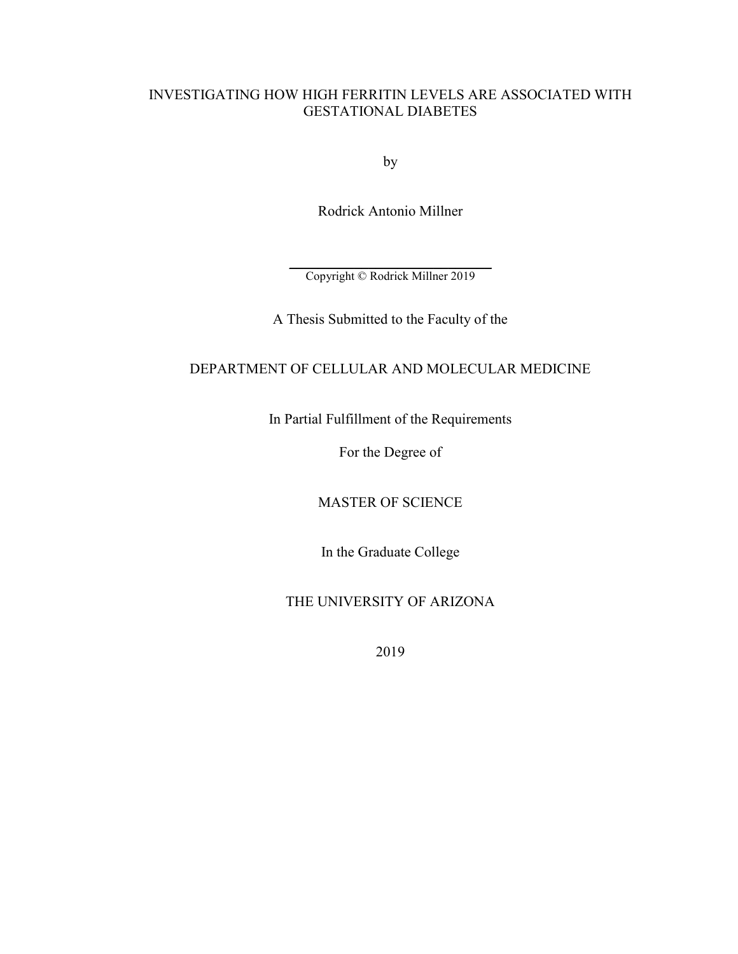# INVESTIGATING HOW HIGH FERRITIN LEVELS ARE ASSOCIATED WITH GESTATIONAL DIABETES

by

Rodrick Antonio Millner

\_\_\_\_\_\_\_\_\_\_\_\_\_\_\_\_\_\_\_\_\_\_\_\_\_\_\_\_ Copyright © Rodrick Millner 2019

A Thesis Submitted to the Faculty of the

# DEPARTMENT OF CELLULAR AND MOLECULAR MEDICINE

In Partial Fulfillment of the Requirements

For the Degree of

MASTER OF SCIENCE

In the Graduate College

THE UNIVERSITY OF ARIZONA

2019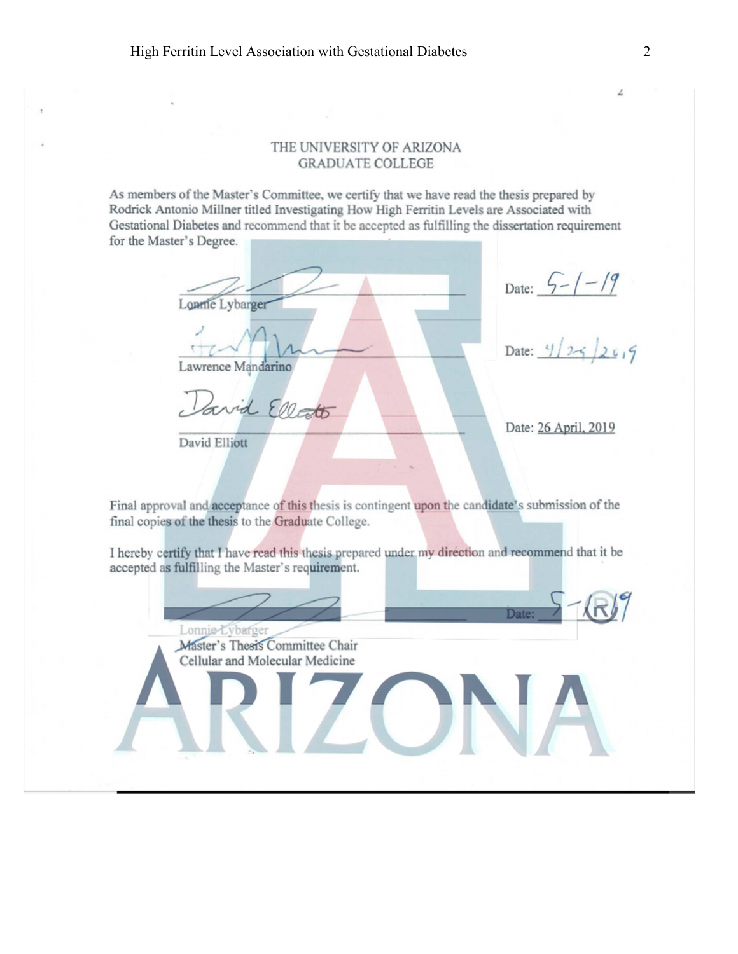# THE UNIVERSITY OF ARIZONA **GRADUATE COLLEGE**

As members of the Master's Committee, we certify that we have read the thesis prepared by Rodrick Antonio Millner titled Investigating How High Ferritin Levels are Associated with Gestational Diabetes and recommend that it be accepted as fulfilling the dissertation requirement for the Master's Degree.

Lonnie Lybarger Lawrence Mandarino avid Ellato

David Elliott

Date:  $\frac{6-7-19}{25}$ <br>Date:  $\frac{9}{25}$   $\frac{20}{5}$ 

Date: 26 April, 2019

Final approval and acceptance of this thesis is contingent upon the candidate's submission of the final copies of the thesis to the Graduate College.

I hereby certify that I have read this thesis prepared under my direction and recommend that it be accepted as fulfilling the Master's requirement.



 $\angle$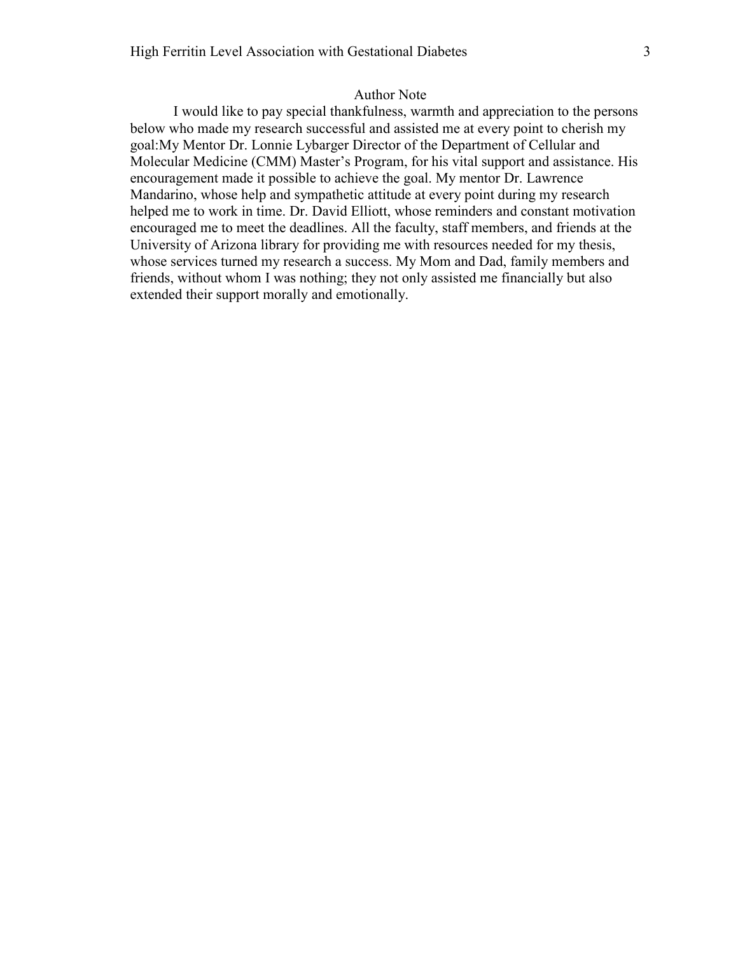## Author Note

I would like to pay special thankfulness, warmth and appreciation to the persons below who made my research successful and assisted me at every point to cherish my goal:My Mentor Dr. Lonnie Lybarger Director of the Department of Cellular and Molecular Medicine (CMM) Master's Program, for his vital support and assistance. His encouragement made it possible to achieve the goal. My mentor Dr. Lawrence Mandarino, whose help and sympathetic attitude at every point during my research helped me to work in time. Dr. David Elliott, whose reminders and constant motivation encouraged me to meet the deadlines. All the faculty, staff members, and friends at the University of Arizona library for providing me with resources needed for my thesis, whose services turned my research a success. My Mom and Dad, family members and friends, without whom I was nothing; they not only assisted me financially but also extended their support morally and emotionally.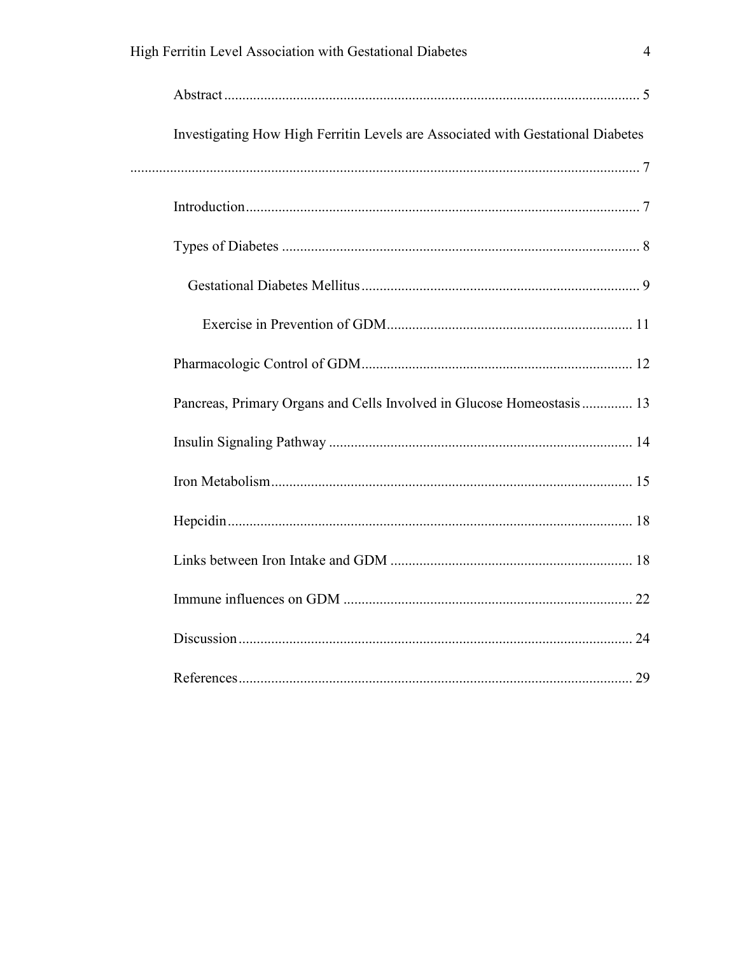| Investigating How High Ferritin Levels are Associated with Gestational Diabetes |  |
|---------------------------------------------------------------------------------|--|
|                                                                                 |  |
|                                                                                 |  |
|                                                                                 |  |
|                                                                                 |  |
|                                                                                 |  |
|                                                                                 |  |
| Pancreas, Primary Organs and Cells Involved in Glucose Homeostasis 13           |  |
|                                                                                 |  |
|                                                                                 |  |
|                                                                                 |  |
|                                                                                 |  |
|                                                                                 |  |
|                                                                                 |  |
|                                                                                 |  |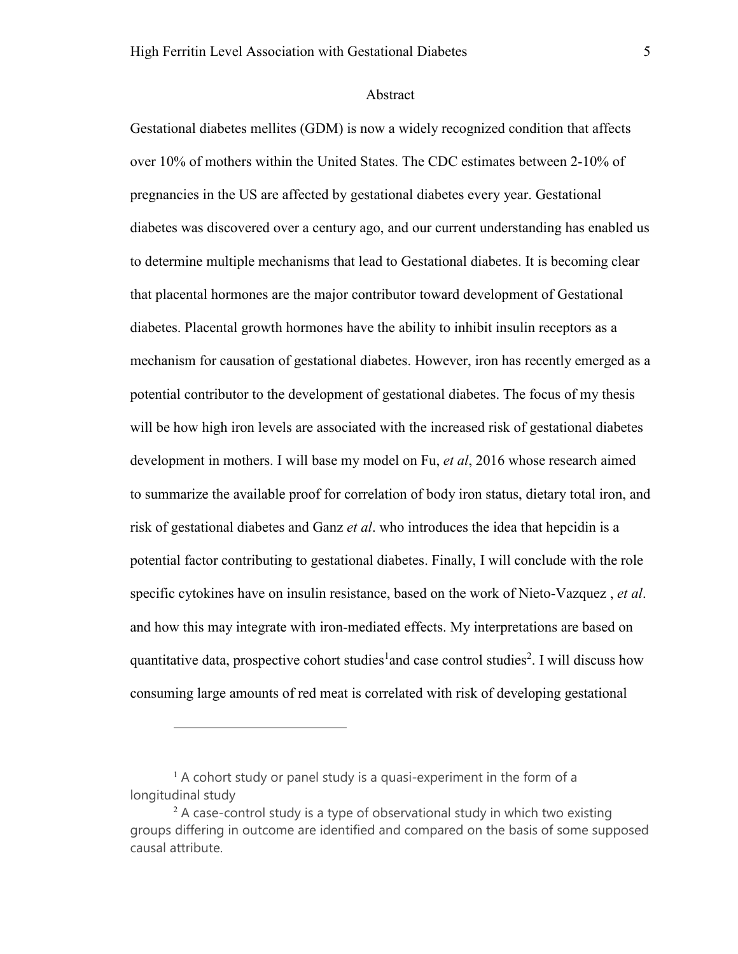### Abstract

Gestational diabetes mellites (GDM) is now a widely recognized condition that affects over 10% of mothers within the United States. The CDC estimates between 2-10% of pregnancies in the US are affected by gestational diabetes every year. Gestational diabetes was discovered over a century ago, and our current understanding has enabled us to determine multiple mechanisms that lead to Gestational diabetes. It is becoming clear that placental hormones are the major contributor toward development of Gestational diabetes. Placental growth hormones have the ability to inhibit insulin receptors as a mechanism for causation of gestational diabetes. However, iron has recently emerged as a potential contributor to the development of gestational diabetes. The focus of my thesis will be how high iron levels are associated with the increased risk of gestational diabetes development in mothers. I will base my model on Fu, *et al*, 2016 whose research aimed to summarize the available proof for correlation of body iron status, dietary total iron, and risk of gestational diabetes and Ganz *et al*. who introduces the idea that hepcidin is a potential factor contributing to gestational diabetes. Finally, I will conclude with the role specific cytokines have on insulin resistance, based on the work of Nieto-Vazquez , *et al*. and how this may integrate with iron-mediated effects. My interpretations are based on quantitative data, prospective cohort studies<sup>1</sup> and case control studies<sup>2</sup>. I will discuss how consuming large amounts of red meat is correlated with risk of developing gestational

 $\overline{a}$ 

 $<sup>1</sup>$  A cohort study or panel study is a quasi-experiment in the form of a</sup> longitudinal study

 $2A$  case-control study is a type of observational study in which two existing groups differing in outcome are identified and compared on the basis of some supposed causal attribute.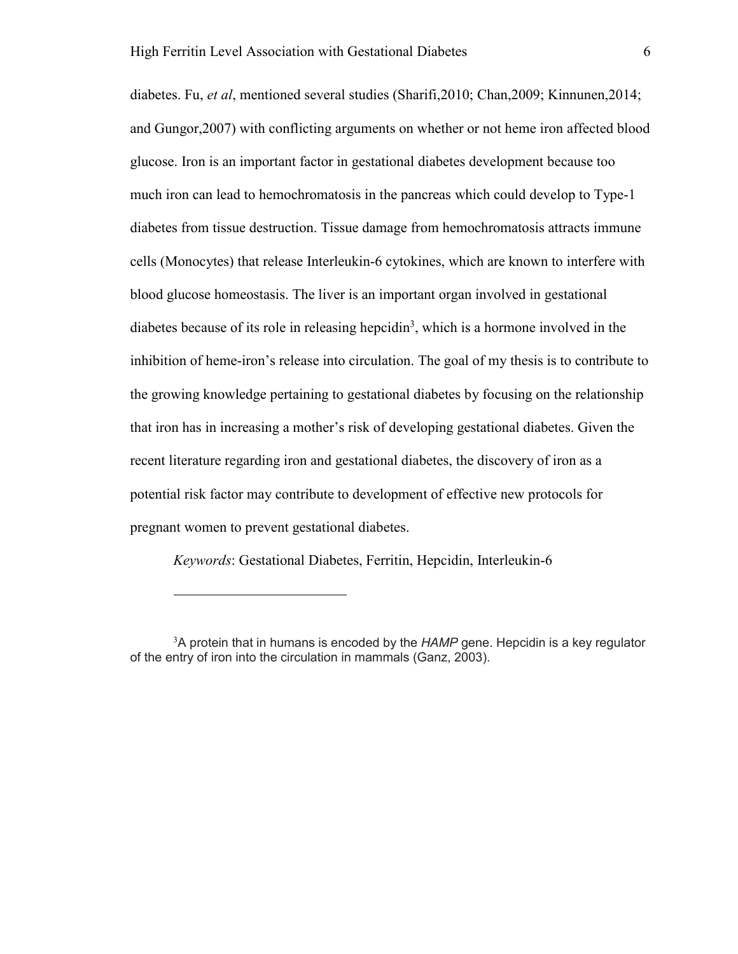diabetes. Fu, *et al*, mentioned several studies (Sharifi,2010; Chan,2009; Kinnunen,2014; and Gungor,2007) with conflicting arguments on whether or not heme iron affected blood glucose. Iron is an important factor in gestational diabetes development because too much iron can lead to hemochromatosis in the pancreas which could develop to Type-1 diabetes from tissue destruction. Tissue damage from hemochromatosis attracts immune cells (Monocytes) that release Interleukin-6 cytokines, which are known to interfere with blood glucose homeostasis. The liver is an important organ involved in gestational diabetes because of its role in releasing hepcidin<sup>3</sup>, which is a hormone involved in the inhibition of heme-iron's release into circulation. The goal of my thesis is to contribute to the growing knowledge pertaining to gestational diabetes by focusing on the relationship that iron has in increasing a mother's risk of developing gestational diabetes. Given the recent literature regarding iron and gestational diabetes, the discovery of iron as a potential risk factor may contribute to development of effective new protocols for pregnant women to prevent gestational diabetes.

*Keywords*: Gestational Diabetes, Ferritin, Hepcidin, Interleukin-6

-

<sup>3</sup>A protein that in humans is encoded by the *HAMP* gene. Hepcidin is a key regulator of the entry of iron into the circulation in mammals (Ganz, 2003).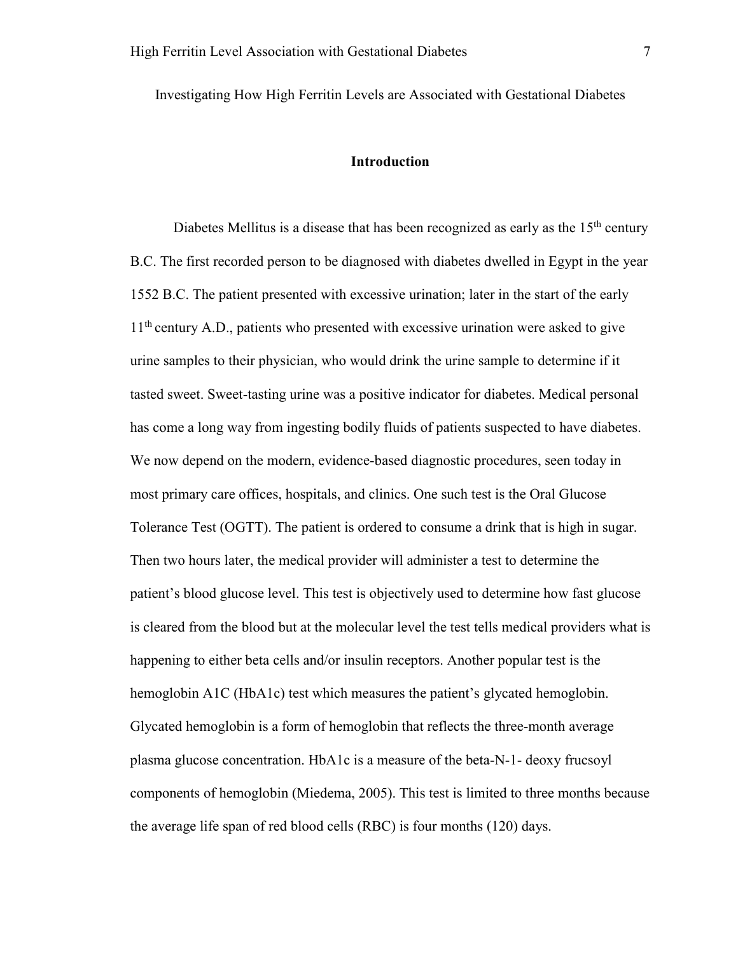Investigating How High Ferritin Levels are Associated with Gestational Diabetes

# **Introduction**

Diabetes Mellitus is a disease that has been recognized as early as the  $15<sup>th</sup>$  century B.C. The first recorded person to be diagnosed with diabetes dwelled in Egypt in the year 1552 B.C. The patient presented with excessive urination; later in the start of the early  $11<sup>th</sup>$  century A.D., patients who presented with excessive urination were asked to give urine samples to their physician, who would drink the urine sample to determine if it tasted sweet. Sweet-tasting urine was a positive indicator for diabetes. Medical personal has come a long way from ingesting bodily fluids of patients suspected to have diabetes. We now depend on the modern, evidence-based diagnostic procedures, seen today in most primary care offices, hospitals, and clinics. One such test is the Oral Glucose Tolerance Test (OGTT). The patient is ordered to consume a drink that is high in sugar. Then two hours later, the medical provider will administer a test to determine the patient's blood glucose level. This test is objectively used to determine how fast glucose is cleared from the blood but at the molecular level the test tells medical providers what is happening to either beta cells and/or insulin receptors. Another popular test is the hemoglobin A1C (HbA1c) test which measures the patient's glycated hemoglobin. Glycated hemoglobin is a form of hemoglobin that reflects the three-month average plasma glucose concentration. HbA1c is a measure of the beta-N-1- deoxy frucsoyl components of hemoglobin (Miedema, 2005). This test is limited to three months because the average life span of red blood cells (RBC) is four months (120) days.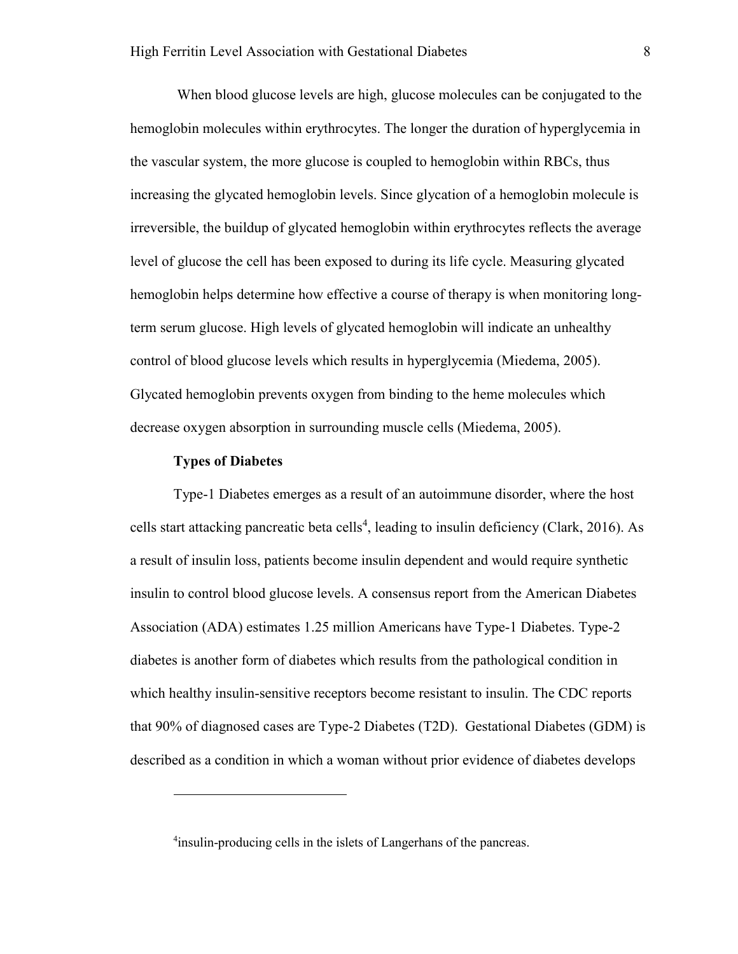When blood glucose levels are high, glucose molecules can be conjugated to the hemoglobin molecules within erythrocytes. The longer the duration of hyperglycemia in the vascular system, the more glucose is coupled to hemoglobin within RBCs, thus increasing the glycated hemoglobin levels. Since glycation of a hemoglobin molecule is irreversible, the buildup of glycated hemoglobin within erythrocytes reflects the average level of glucose the cell has been exposed to during its life cycle. Measuring glycated hemoglobin helps determine how effective a course of therapy is when monitoring longterm serum glucose. High levels of glycated hemoglobin will indicate an unhealthy control of blood glucose levels which results in hyperglycemia (Miedema, 2005). Glycated hemoglobin prevents oxygen from binding to the heme molecules which decrease oxygen absorption in surrounding muscle cells (Miedema, 2005).

#### **Types of Diabetes**

l

Type-1 Diabetes emerges as a result of an autoimmune disorder, where the host cells start attacking pancreatic beta cells<sup>4</sup>, leading to insulin deficiency (Clark, 2016). As a result of insulin loss, patients become insulin dependent and would require synthetic insulin to control blood glucose levels. A consensus report from the American Diabetes Association (ADA) estimates 1.25 million Americans have Type-1 Diabetes. Type-2 diabetes is another form of diabetes which results from the pathological condition in which healthy insulin-sensitive receptors become resistant to insulin. The CDC reports that 90% of diagnosed cases are Type-2 Diabetes (T2D). Gestational Diabetes (GDM) is described as a condition in which a woman without prior evidence of diabetes develops

<sup>&</sup>lt;sup>4</sup>insulin-producing cells in the islets of Langerhans of the pancreas.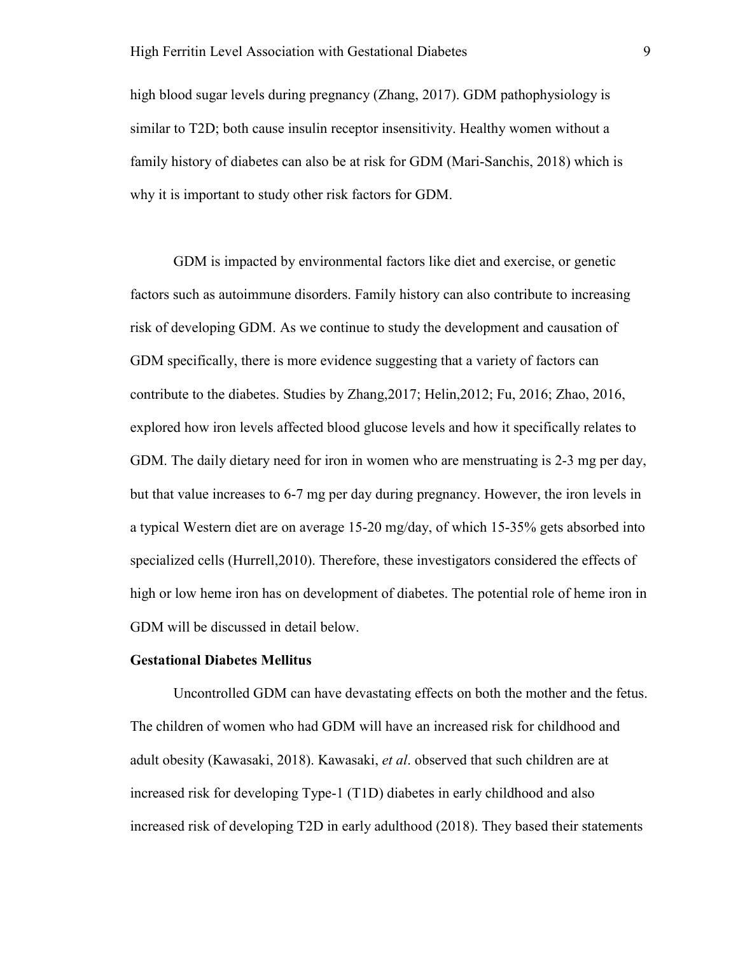high blood sugar levels during pregnancy (Zhang, 2017). GDM pathophysiology is similar to T2D; both cause insulin receptor insensitivity. Healthy women without a family history of diabetes can also be at risk for GDM (Mari-Sanchis, 2018) which is why it is important to study other risk factors for GDM.

GDM is impacted by environmental factors like diet and exercise, or genetic factors such as autoimmune disorders. Family history can also contribute to increasing risk of developing GDM. As we continue to study the development and causation of GDM specifically, there is more evidence suggesting that a variety of factors can contribute to the diabetes. Studies by Zhang,2017; Helin,2012; Fu, 2016; Zhao, 2016, explored how iron levels affected blood glucose levels and how it specifically relates to GDM. The daily dietary need for iron in women who are menstruating is 2-3 mg per day, but that value increases to 6-7 mg per day during pregnancy. However, the iron levels in a typical Western diet are on average 15-20 mg/day, of which 15-35% gets absorbed into specialized cells (Hurrell,2010). Therefore, these investigators considered the effects of high or low heme iron has on development of diabetes. The potential role of heme iron in GDM will be discussed in detail below.

#### **Gestational Diabetes Mellitus**

Uncontrolled GDM can have devastating effects on both the mother and the fetus. The children of women who had GDM will have an increased risk for childhood and adult obesity (Kawasaki, 2018). Kawasaki, *et al*. observed that such children are at increased risk for developing Type-1 (T1D) diabetes in early childhood and also increased risk of developing T2D in early adulthood (2018). They based their statements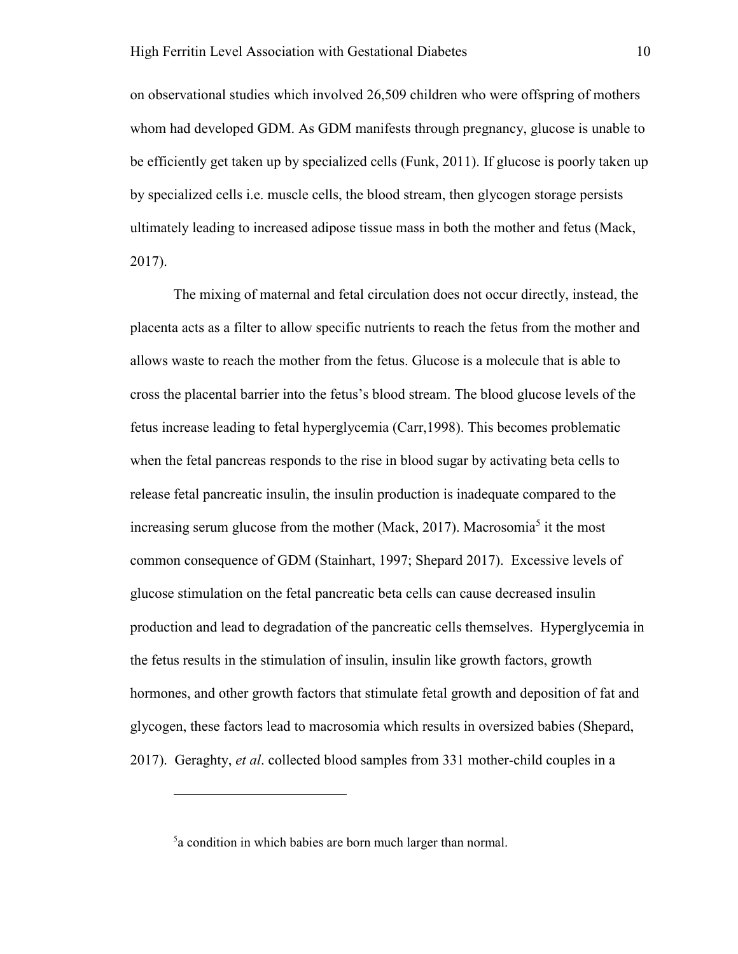on observational studies which involved 26,509 children who were offspring of mothers whom had developed GDM. As GDM manifests through pregnancy, glucose is unable to be efficiently get taken up by specialized cells (Funk, 2011). If glucose is poorly taken up by specialized cells i.e. muscle cells, the blood stream, then glycogen storage persists ultimately leading to increased adipose tissue mass in both the mother and fetus (Mack, 2017).

The mixing of maternal and fetal circulation does not occur directly, instead, the placenta acts as a filter to allow specific nutrients to reach the fetus from the mother and allows waste to reach the mother from the fetus. Glucose is a molecule that is able to cross the placental barrier into the fetus's blood stream. The blood glucose levels of the fetus increase leading to fetal hyperglycemia (Carr,1998). This becomes problematic when the fetal pancreas responds to the rise in blood sugar by activating beta cells to release fetal pancreatic insulin, the insulin production is inadequate compared to the increasing serum glucose from the mother (Mack, 2017). Macrosomia<sup>5</sup> it the most common consequence of GDM (Stainhart, 1997; Shepard 2017). Excessive levels of glucose stimulation on the fetal pancreatic beta cells can cause decreased insulin production and lead to degradation of the pancreatic cells themselves. Hyperglycemia in the fetus results in the stimulation of insulin, insulin like growth factors, growth hormones, and other growth factors that stimulate fetal growth and deposition of fat and glycogen, these factors lead to macrosomia which results in oversized babies (Shepard, 2017). Geraghty, *et al*. collected blood samples from 331 mother-child couples in a

-

<sup>5</sup> a condition in which babies are born much larger than normal.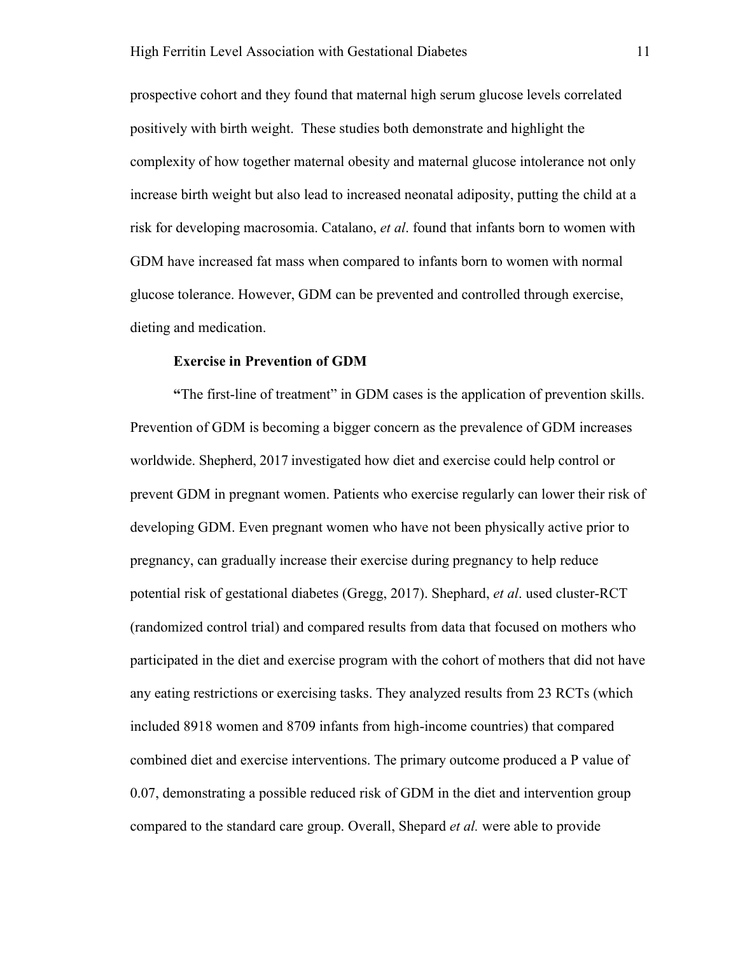prospective cohort and they found that maternal high serum glucose levels correlated positively with birth weight. These studies both demonstrate and highlight the complexity of how together maternal obesity and maternal glucose intolerance not only increase birth weight but also lead to increased neonatal adiposity, putting the child at a risk for developing macrosomia. Catalano, *et al*. found that infants born to women with GDM have increased fat mass when compared to infants born to women with normal glucose tolerance. However, GDM can be prevented and controlled through exercise, dieting and medication.

#### **Exercise in Prevention of GDM**

**"**The first-line of treatment" in GDM cases is the application of prevention skills. Prevention of GDM is becoming a bigger concern as the prevalence of GDM increases worldwide. Shepherd, 2017 investigated how diet and exercise could help control or prevent GDM in pregnant women. Patients who exercise regularly can lower their risk of developing GDM. Even pregnant women who have not been physically active prior to pregnancy, can gradually increase their exercise during pregnancy to help reduce potential risk of gestational diabetes (Gregg, 2017). Shephard, *et al*. used cluster-RCT (randomized control trial) and compared results from data that focused on mothers who participated in the diet and exercise program with the cohort of mothers that did not have any eating restrictions or exercising tasks. They analyzed results from 23 RCTs (which included 8918 women and 8709 infants from high-income countries) that compared combined diet and exercise interventions. The primary outcome produced a P value of 0.07, demonstrating a possible reduced risk of GDM in the diet and intervention group compared to the standard care group. Overall, Shepard *et al.* were able to provide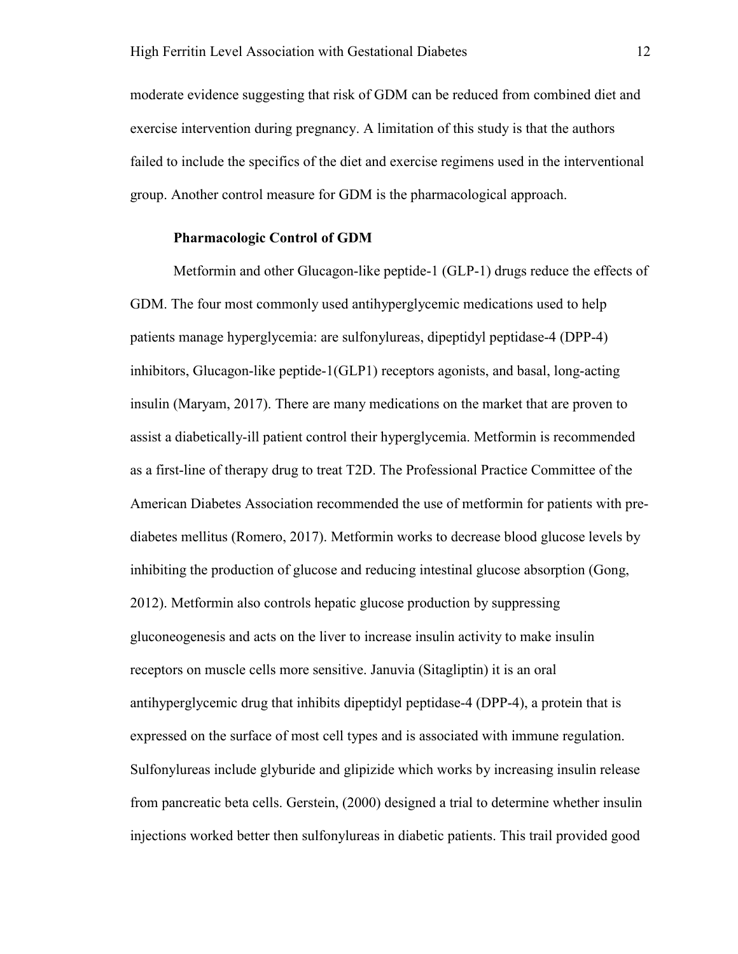moderate evidence suggesting that risk of GDM can be reduced from combined diet and exercise intervention during pregnancy. A limitation of this study is that the authors failed to include the specifics of the diet and exercise regimens used in the interventional group. Another control measure for GDM is the pharmacological approach.

# **Pharmacologic Control of GDM**

Metformin and other Glucagon-like peptide-1 (GLP-1) drugs reduce the effects of GDM. The four most commonly used antihyperglycemic medications used to help patients manage hyperglycemia: are sulfonylureas, dipeptidyl peptidase-4 (DPP-4) inhibitors, Glucagon-like peptide-1(GLP1) receptors agonists, and basal, long-acting insulin (Maryam, 2017). There are many medications on the market that are proven to assist a diabetically-ill patient control their hyperglycemia. Metformin is recommended as a first-line of therapy drug to treat T2D. The Professional Practice Committee of the American Diabetes Association recommended the use of metformin for patients with prediabetes mellitus (Romero, 2017). Metformin works to decrease blood glucose levels by inhibiting the production of glucose and reducing intestinal glucose absorption (Gong, 2012). Metformin also controls hepatic glucose production by suppressing gluconeogenesis and acts on the liver to increase insulin activity to make insulin receptors on muscle cells more sensitive. Januvia (Sitagliptin) it is an oral antihyperglycemic drug that inhibits dipeptidyl peptidase-4 (DPP-4), a protein that is expressed on the surface of most cell types and is associated with immune regulation. Sulfonylureas include glyburide and glipizide which works by increasing insulin release from pancreatic beta cells. Gerstein, (2000) designed a trial to determine whether insulin injections worked better then sulfonylureas in diabetic patients. This trail provided good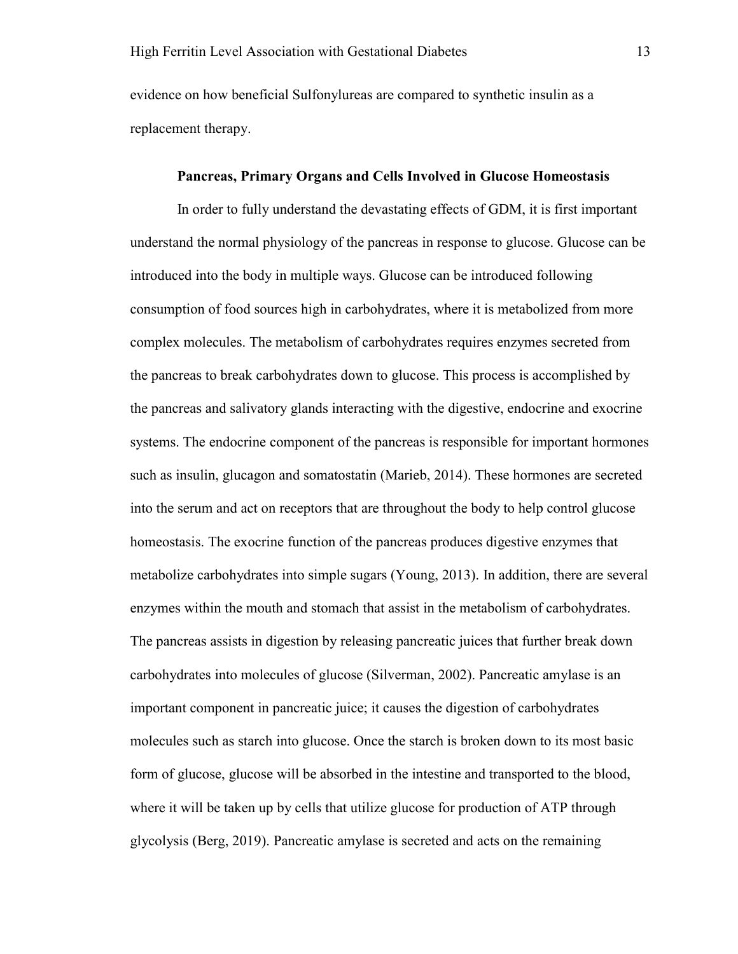evidence on how beneficial Sulfonylureas are compared to synthetic insulin as a replacement therapy.

#### **Pancreas, Primary Organs and Cells Involved in Glucose Homeostasis**

 In order to fully understand the devastating effects of GDM, it is first important understand the normal physiology of the pancreas in response to glucose. Glucose can be introduced into the body in multiple ways. Glucose can be introduced following consumption of food sources high in carbohydrates, where it is metabolized from more complex molecules. The metabolism of carbohydrates requires enzymes secreted from the pancreas to break carbohydrates down to glucose. This process is accomplished by the pancreas and salivatory glands interacting with the digestive, endocrine and exocrine systems. The endocrine component of the pancreas is responsible for important hormones such as insulin, glucagon and somatostatin (Marieb, 2014). These hormones are secreted into the serum and act on receptors that are throughout the body to help control glucose homeostasis. The exocrine function of the pancreas produces digestive enzymes that metabolize carbohydrates into simple sugars (Young, 2013). In addition, there are several enzymes within the mouth and stomach that assist in the metabolism of carbohydrates. The pancreas assists in digestion by releasing pancreatic juices that further break down carbohydrates into molecules of glucose (Silverman, 2002). Pancreatic amylase is an important component in pancreatic juice; it causes the digestion of carbohydrates molecules such as starch into glucose. Once the starch is broken down to its most basic form of glucose, glucose will be absorbed in the intestine and transported to the blood, where it will be taken up by cells that utilize glucose for production of ATP through glycolysis (Berg, 2019). Pancreatic amylase is secreted and acts on the remaining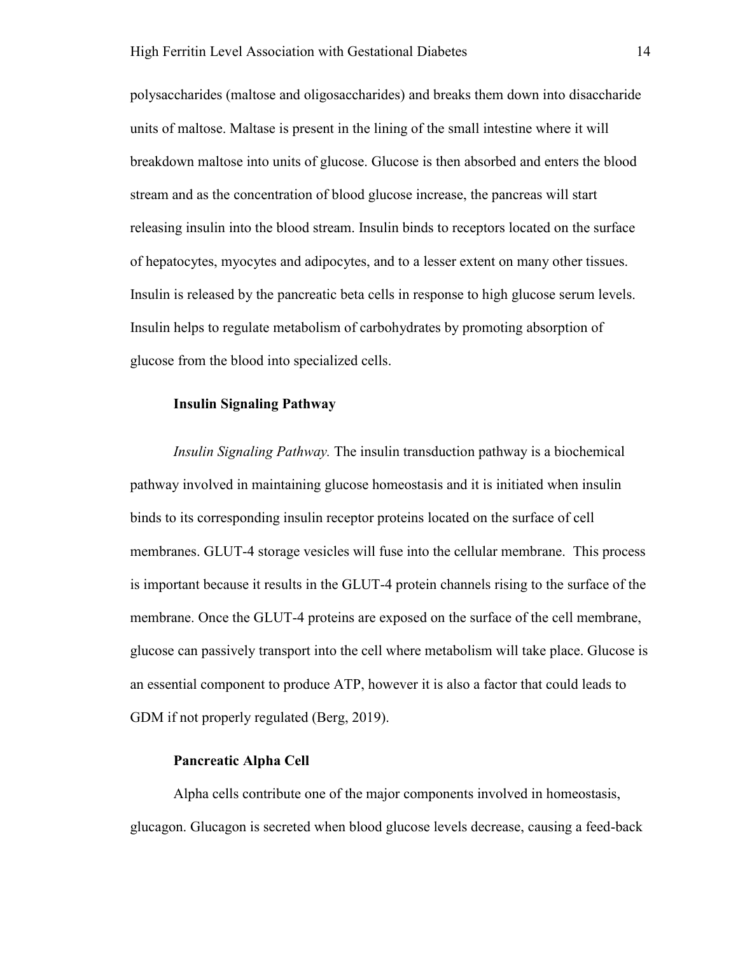polysaccharides (maltose and oligosaccharides) and breaks them down into disaccharide units of maltose. Maltase is present in the lining of the small intestine where it will breakdown maltose into units of glucose. Glucose is then absorbed and enters the blood stream and as the concentration of blood glucose increase, the pancreas will start releasing insulin into the blood stream. Insulin binds to receptors located on the surface of hepatocytes, myocytes and adipocytes, and to a lesser extent on many other tissues. Insulin is released by the pancreatic beta cells in response to high glucose serum levels. Insulin helps to regulate metabolism of carbohydrates by promoting absorption of glucose from the blood into specialized cells.

### **Insulin Signaling Pathway**

*Insulin Signaling Pathway.* The insulin transduction pathway is a biochemical pathway involved in maintaining glucose homeostasis and it is initiated when insulin binds to its corresponding insulin receptor proteins located on the surface of cell membranes. GLUT-4 storage vesicles will fuse into the cellular membrane. This process is important because it results in the GLUT-4 protein channels rising to the surface of the membrane. Once the GLUT-4 proteins are exposed on the surface of the cell membrane, glucose can passively transport into the cell where metabolism will take place. Glucose is an essential component to produce ATP, however it is also a factor that could leads to GDM if not properly regulated (Berg, 2019).

#### **Pancreatic Alpha Cell**

Alpha cells contribute one of the major components involved in homeostasis, glucagon. Glucagon is secreted when blood glucose levels decrease, causing a feed-back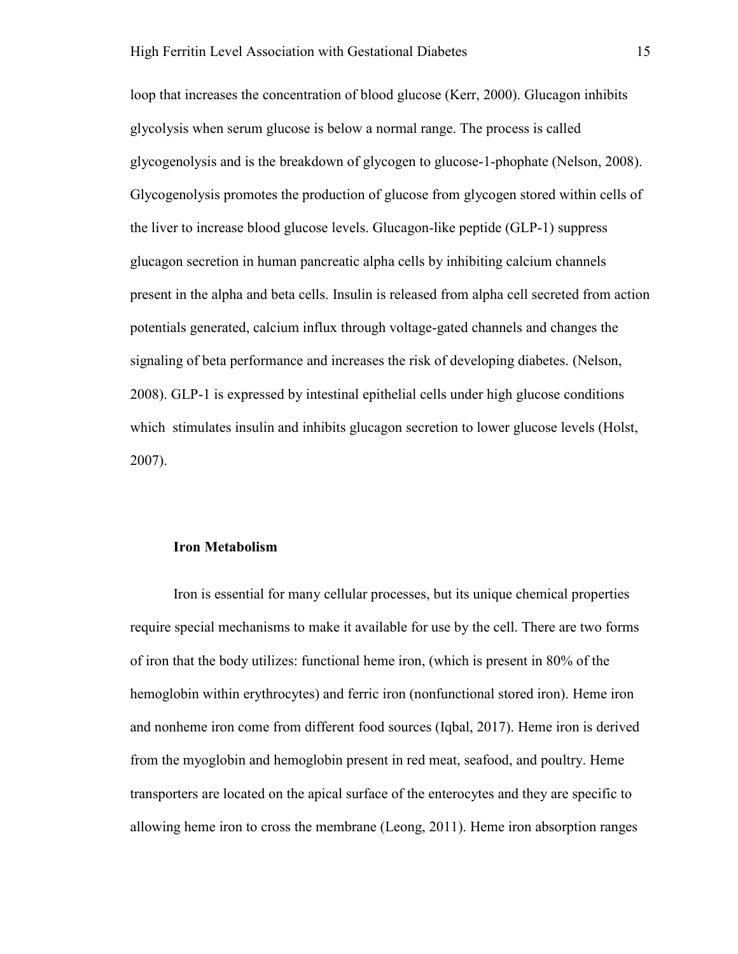loop that increases the concentration of blood glucose (Kerr, 2000). Glucagon inhibits glycolysis when serum glucose is below a normal range. The process is called glycogenolysis and is the breakdown of glycogen to glucose-1-phophate (Nelson, 2008). Glycogenolysis promotes the production of glucose from glycogen stored within cells of the liver to increase blood glucose levels. Glucagon-like peptide (GLP-1) suppress glucagon secretion in human pancreatic alpha cells by inhibiting calcium channels present in the alpha and beta cells. Insulin is released from alpha cell secreted from action potentials generated, calcium influx through voltage-gated channels and changes the signaling of beta performance and increases the risk of developing diabetes. (Nelson, 2008). GLP-1 is expressed by intestinal epithelial cells under high glucose conditions which stimulates insulin and inhibits glucagon secretion to lower glucose levels (Holst, 2007).

## **Iron Metabolism**

Iron is essential for many cellular processes, but its unique chemical properties require special mechanisms to make it available for use by the cell. There are two forms of iron that the body utilizes: functional heme iron, (which is present in 80% of the hemoglobin within erythrocytes) and ferric iron (nonfunctional stored iron). Heme iron and nonheme iron come from different food sources (Iqbal, 2017). Heme iron is derived from the myoglobin and hemoglobin present in red meat, seafood, and poultry. Heme transporters are located on the apical surface of the enterocytes and they are specific to allowing heme iron to cross the membrane (Leong, 2011). Heme iron absorption ranges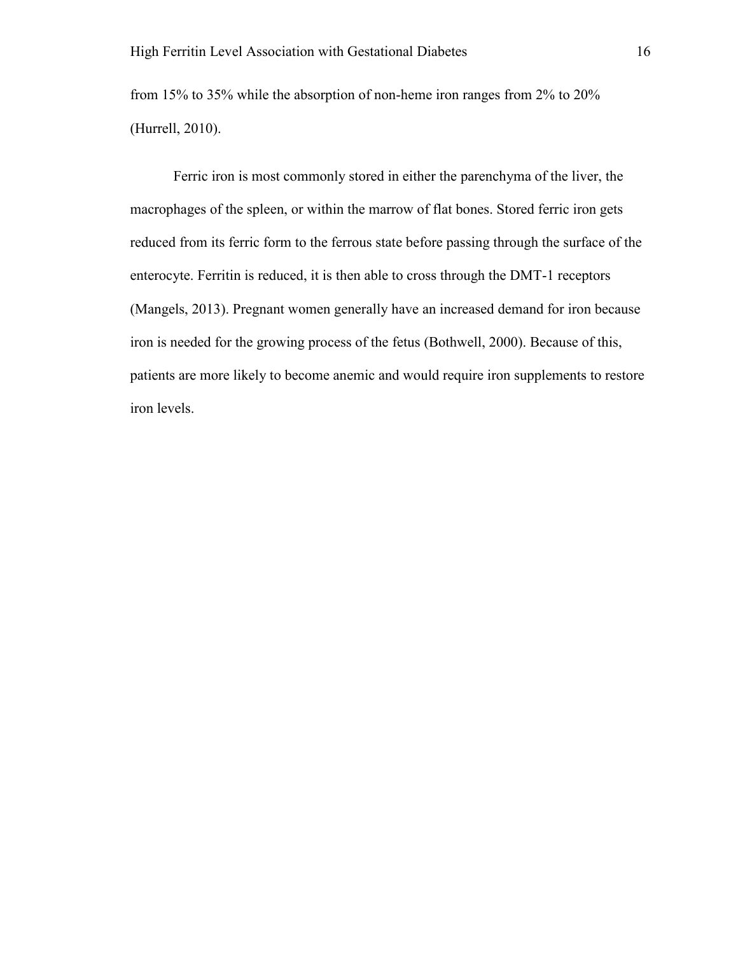from 15% to 35% while the absorption of non-heme iron ranges from 2% to 20% (Hurrell, 2010).

Ferric iron is most commonly stored in either the parenchyma of the liver, the macrophages of the spleen, or within the marrow of flat bones. Stored ferric iron gets reduced from its ferric form to the ferrous state before passing through the surface of the enterocyte. Ferritin is reduced, it is then able to cross through the DMT-1 receptors (Mangels, 2013). Pregnant women generally have an increased demand for iron because iron is needed for the growing process of the fetus (Bothwell, 2000). Because of this, patients are more likely to become anemic and would require iron supplements to restore iron levels.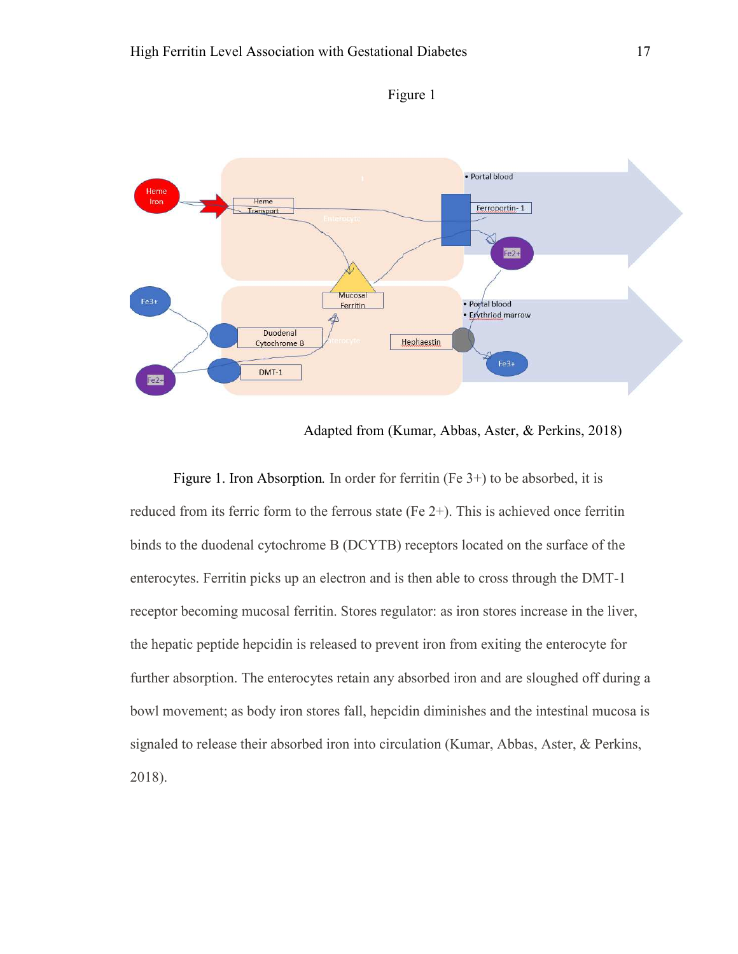

Figure 1

Adapted from (Kumar, Abbas, Aster, & Perkins, 2018)

Figure 1. Iron Absorption. In order for ferritin (Fe 3<sup>+</sup>) to be absorbed, it is reduced from its ferric form to the ferrous state (Fe 2+). This is achieved once ferritin binds to the duodenal cytochrome B (DCYTB) receptors located on the surface of the enterocytes. Ferritin picks up an electron and is then able to cross through the DMT-1 receptor becoming mucosal ferritin. Stores regulator: as iron stores increase in the liver, the hepatic peptide hepcidin is released to prevent iron from exiting the enterocyte for further absorption. The enterocytes retain any absorbed iron and are sloughed off during a bowl movement; as body iron stores fall, hepcidin diminishes and the intestinal mucosa is signaled to release their absorbed iron into circulation (Kumar, Abbas, Aster, & Perkins, 2018).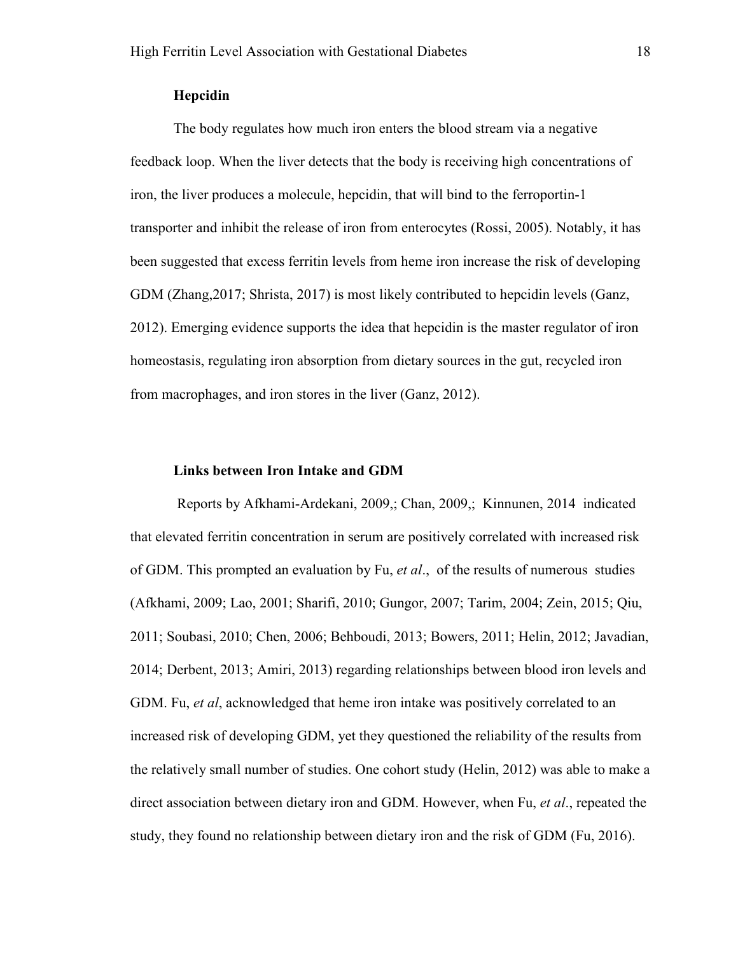# **Hepcidin**

The body regulates how much iron enters the blood stream via a negative feedback loop. When the liver detects that the body is receiving high concentrations of iron, the liver produces a molecule, hepcidin, that will bind to the ferroportin-1 transporter and inhibit the release of iron from enterocytes (Rossi, 2005). Notably, it has been suggested that excess ferritin levels from heme iron increase the risk of developing GDM (Zhang,2017; Shrista, 2017) is most likely contributed to hepcidin levels (Ganz, 2012). Emerging evidence supports the idea that hepcidin is the master regulator of iron homeostasis, regulating iron absorption from dietary sources in the gut, recycled iron from macrophages, and iron stores in the liver (Ganz, 2012).

#### **Links between Iron Intake and GDM**

 Reports by Afkhami-Ardekani, 2009,; Chan, 2009,; Kinnunen, 2014 indicated that elevated ferritin concentration in serum are positively correlated with increased risk of GDM. This prompted an evaluation by Fu, *et al*., of the results of numerous studies (Afkhami, 2009; Lao, 2001; Sharifi, 2010; Gungor, 2007; Tarim, 2004; Zein, 2015; Qiu, 2011; Soubasi, 2010; Chen, 2006; Behboudi, 2013; Bowers, 2011; Helin, 2012; Javadian, 2014; Derbent, 2013; Amiri, 2013) regarding relationships between blood iron levels and GDM. Fu, *et al*, acknowledged that heme iron intake was positively correlated to an increased risk of developing GDM, yet they questioned the reliability of the results from the relatively small number of studies. One cohort study (Helin, 2012) was able to make a direct association between dietary iron and GDM. However, when Fu, *et al*., repeated the study, they found no relationship between dietary iron and the risk of GDM (Fu, 2016).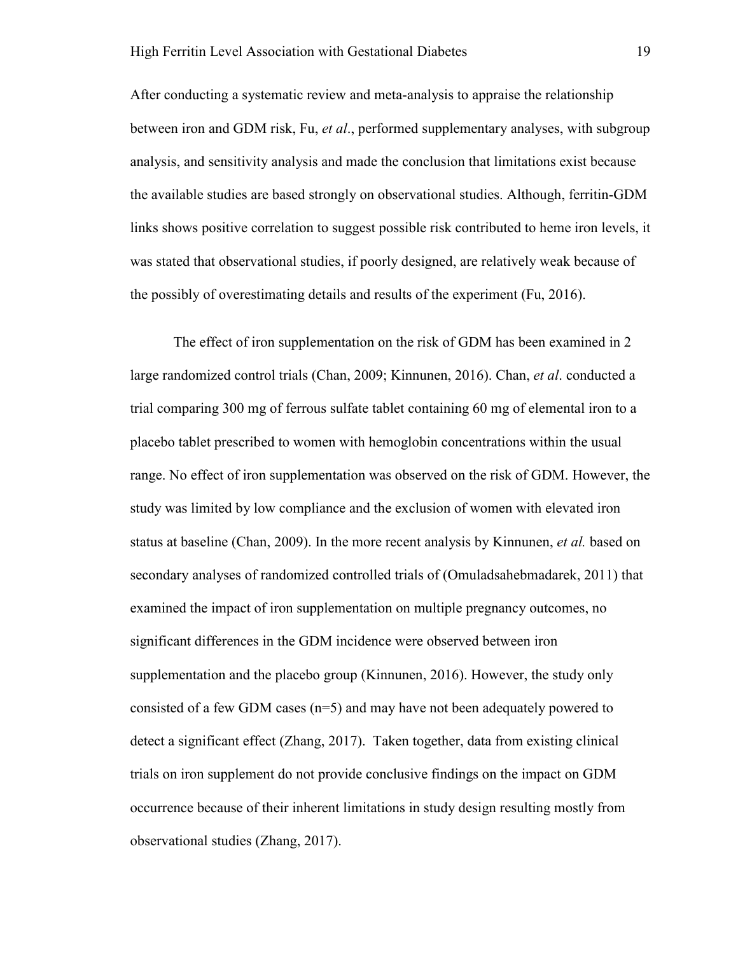After conducting a systematic review and meta-analysis to appraise the relationship between iron and GDM risk, Fu, *et al*., performed supplementary analyses, with subgroup analysis, and sensitivity analysis and made the conclusion that limitations exist because the available studies are based strongly on observational studies. Although, ferritin-GDM links shows positive correlation to suggest possible risk contributed to heme iron levels, it was stated that observational studies, if poorly designed, are relatively weak because of the possibly of overestimating details and results of the experiment (Fu, 2016).

 The effect of iron supplementation on the risk of GDM has been examined in 2 large randomized control trials (Chan, 2009; Kinnunen, 2016). Chan, *et al*. conducted a trial comparing 300 mg of ferrous sulfate tablet containing 60 mg of elemental iron to a placebo tablet prescribed to women with hemoglobin concentrations within the usual range. No effect of iron supplementation was observed on the risk of GDM. However, the study was limited by low compliance and the exclusion of women with elevated iron status at baseline (Chan, 2009). In the more recent analysis by Kinnunen, *et al.* based on secondary analyses of randomized controlled trials of (Omuladsahebmadarek, 2011) that examined the impact of iron supplementation on multiple pregnancy outcomes, no significant differences in the GDM incidence were observed between iron supplementation and the placebo group (Kinnunen, 2016). However, the study only consisted of a few GDM cases  $(n=5)$  and may have not been adequately powered to detect a significant effect (Zhang, 2017). Taken together, data from existing clinical trials on iron supplement do not provide conclusive findings on the impact on GDM occurrence because of their inherent limitations in study design resulting mostly from observational studies (Zhang, 2017).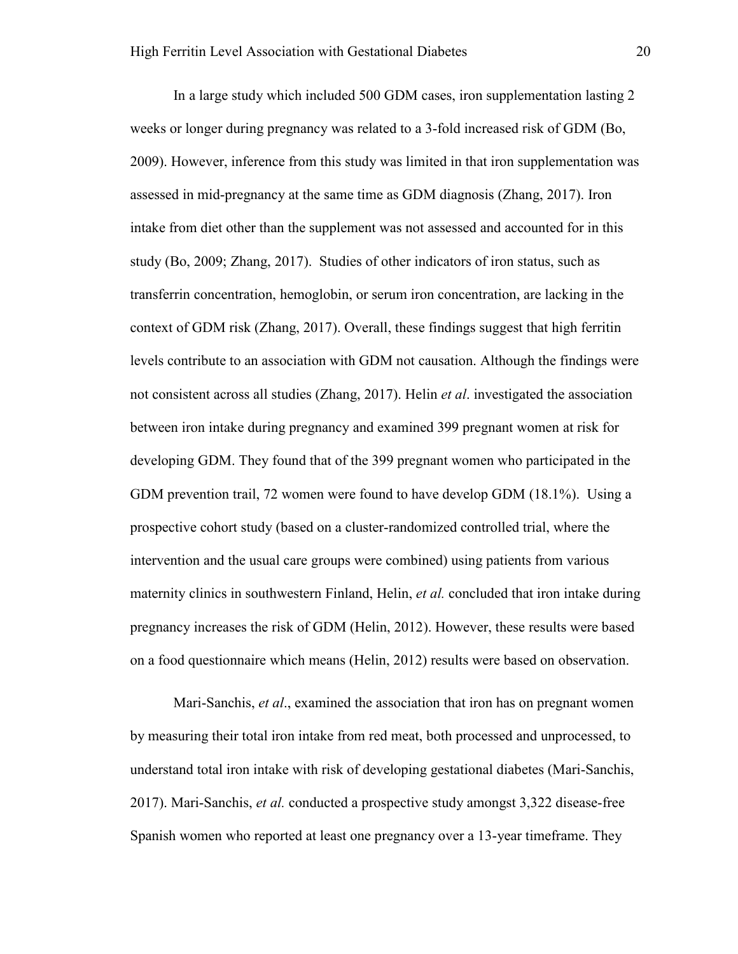In a large study which included 500 GDM cases, iron supplementation lasting 2 weeks or longer during pregnancy was related to a 3-fold increased risk of GDM (Bo, 2009). However, inference from this study was limited in that iron supplementation was assessed in mid-pregnancy at the same time as GDM diagnosis (Zhang, 2017). Iron intake from diet other than the supplement was not assessed and accounted for in this study (Bo, 2009; Zhang, 2017). Studies of other indicators of iron status, such as transferrin concentration, hemoglobin, or serum iron concentration, are lacking in the context of GDM risk (Zhang, 2017). Overall, these findings suggest that high ferritin levels contribute to an association with GDM not causation. Although the findings were not consistent across all studies (Zhang, 2017). Helin *et al*. investigated the association between iron intake during pregnancy and examined 399 pregnant women at risk for developing GDM. They found that of the 399 pregnant women who participated in the GDM prevention trail, 72 women were found to have develop GDM (18.1%). Using a prospective cohort study (based on a cluster-randomized controlled trial, where the intervention and the usual care groups were combined) using patients from various maternity clinics in southwestern Finland, Helin, *et al.* concluded that iron intake during pregnancy increases the risk of GDM (Helin, 2012). However, these results were based on a food questionnaire which means (Helin, 2012) results were based on observation.

Mari-Sanchis, *et al*., examined the association that iron has on pregnant women by measuring their total iron intake from red meat, both processed and unprocessed, to understand total iron intake with risk of developing gestational diabetes (Mari-Sanchis, 2017). Mari-Sanchis, *et al.* conducted a prospective study amongst 3,322 disease-free Spanish women who reported at least one pregnancy over a 13-year timeframe. They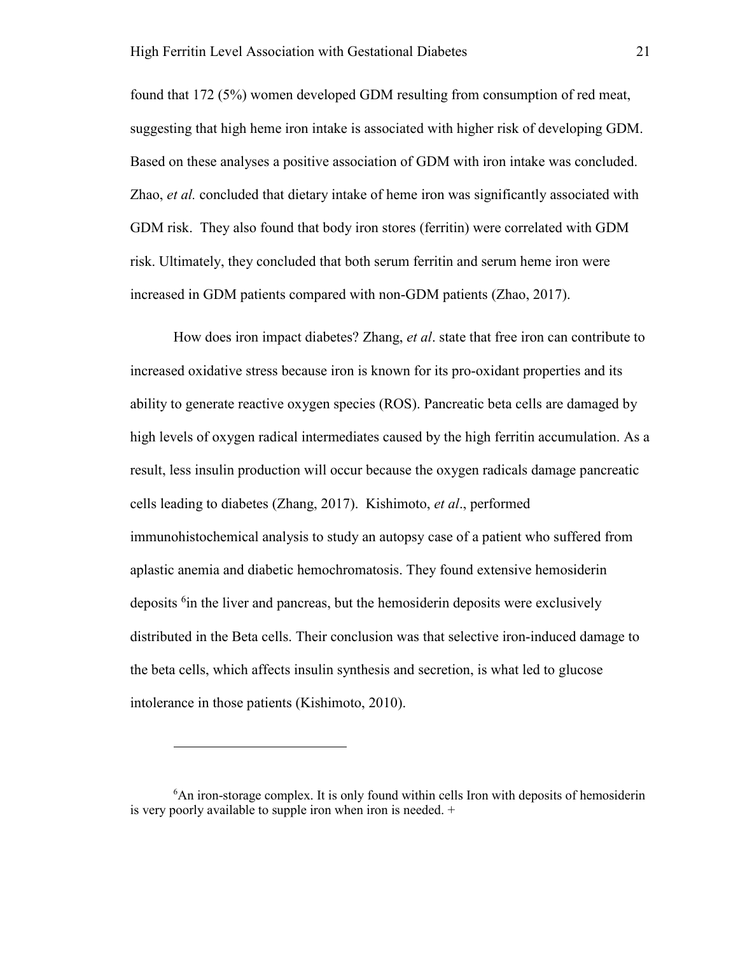found that 172 (5%) women developed GDM resulting from consumption of red meat, suggesting that high heme iron intake is associated with higher risk of developing GDM. Based on these analyses a positive association of GDM with iron intake was concluded. Zhao, *et al.* concluded that dietary intake of heme iron was significantly associated with GDM risk. They also found that body iron stores (ferritin) were correlated with GDM risk. Ultimately, they concluded that both serum ferritin and serum heme iron were increased in GDM patients compared with non-GDM patients (Zhao, 2017).

How does iron impact diabetes? Zhang, *et al*. state that free iron can contribute to increased oxidative stress because iron is known for its pro-oxidant properties and its ability to generate reactive oxygen species (ROS). Pancreatic beta cells are damaged by high levels of oxygen radical intermediates caused by the high ferritin accumulation. As a result, less insulin production will occur because the oxygen radicals damage pancreatic cells leading to diabetes (Zhang, 2017). Kishimoto, *et al*., performed immunohistochemical analysis to study an autopsy case of a patient who suffered from aplastic anemia and diabetic hemochromatosis. They found extensive hemosiderin deposits <sup>6</sup>in the liver and pancreas, but the hemosiderin deposits were exclusively distributed in the Beta cells. Their conclusion was that selective iron-induced damage to the beta cells, which affects insulin synthesis and secretion, is what led to glucose intolerance in those patients (Kishimoto, 2010).

-

<sup>&</sup>lt;sup>6</sup>An iron-storage complex. It is only found within cells Iron with deposits of hemosiderin is very poorly available to supple iron when iron is needed. +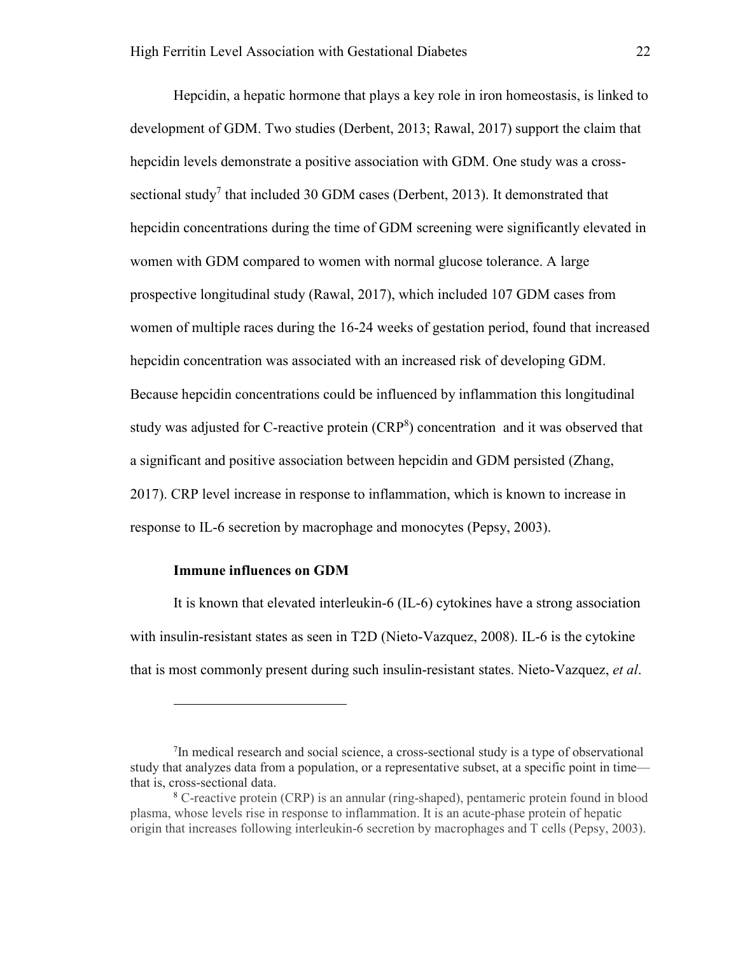Hepcidin, a hepatic hormone that plays a key role in iron homeostasis, is linked to development of GDM. Two studies (Derbent, 2013; Rawal, 2017) support the claim that hepcidin levels demonstrate a positive association with GDM. One study was a crosssectional study<sup>7</sup> that included 30 GDM cases (Derbent, 2013). It demonstrated that hepcidin concentrations during the time of GDM screening were significantly elevated in women with GDM compared to women with normal glucose tolerance. A large prospective longitudinal study (Rawal, 2017), which included 107 GDM cases from women of multiple races during the 16-24 weeks of gestation period, found that increased hepcidin concentration was associated with an increased risk of developing GDM. Because hepcidin concentrations could be influenced by inflammation this longitudinal study was adjusted for C-reactive protein  $(CRP<sup>8</sup>)$  concentration and it was observed that a significant and positive association between hepcidin and GDM persisted (Zhang, 2017). CRP level increase in response to inflammation, which is known to increase in response to IL-6 secretion by macrophage and monocytes (Pepsy, 2003).

# **Immune influences on GDM**

 $\overline{a}$ 

It is known that elevated interleukin-6 (IL-6) cytokines have a strong association with insulin-resistant states as seen in T2D (Nieto-Vazquez, 2008). IL-6 is the cytokine that is most commonly present during such insulin-resistant states. Nieto-Vazquez, *et al*.

<sup>&</sup>lt;sup>7</sup>In medical research and social science, a cross-sectional study is a type of observational study that analyzes data from a population, or a representative subset, at a specific point in time that is, cross-sectional data.

<sup>8</sup> C-reactive protein (CRP) is an annular (ring-shaped), pentameric protein found in blood plasma, whose levels rise in response to inflammation. It is an acute-phase protein of hepatic origin that increases following interleukin-6 secretion by macrophages and T cells (Pepsy, 2003).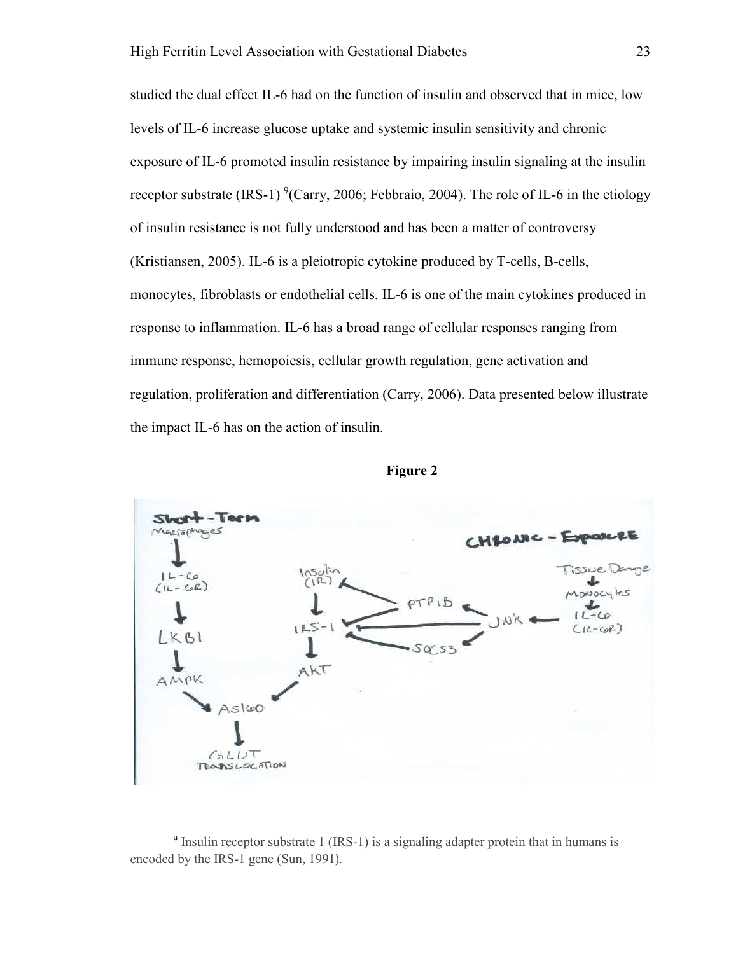studied the dual effect IL-6 had on the function of insulin and observed that in mice, low levels of IL-6 increase glucose uptake and systemic insulin sensitivity and chronic exposure of IL-6 promoted insulin resistance by impairing insulin signaling at the insulin receptor substrate (IRS-1)<sup>9</sup>(Carry, 2006; Febbraio, 2004). The role of IL-6 in the etiology of insulin resistance is not fully understood and has been a matter of controversy (Kristiansen, 2005). IL-6 is a pleiotropic cytokine produced by T-cells, B-cells, monocytes, fibroblasts or endothelial cells. IL-6 is one of the main cytokines produced in response to inflammation. IL-6 has a broad range of cellular responses ranging from immune response, hemopoiesis, cellular growth regulation, gene activation and regulation, proliferation and differentiation (Carry, 2006). Data presented below illustrate the impact IL-6 has on the action of insulin.





<sup>9</sup> Insulin receptor substrate 1 (IRS-1) is a signaling adapter protein that in humans is encoded by the IRS-1 gene (Sun, 1991).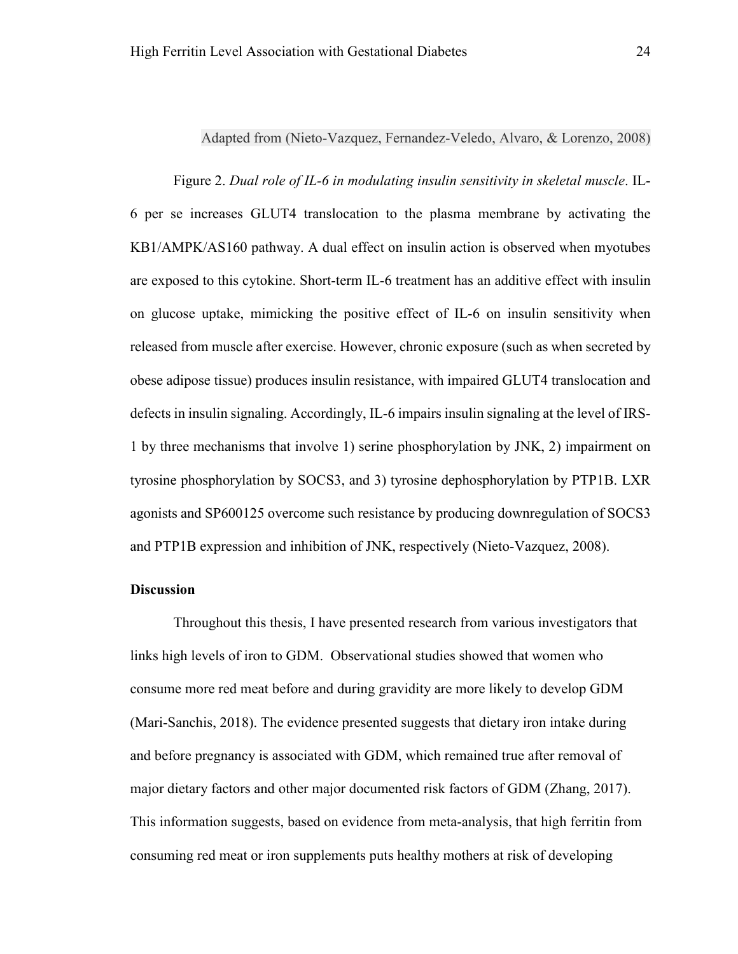Adapted from (Nieto-Vazquez, Fernandez-Veledo, Alvaro, & Lorenzo, 2008)

Figure 2. *Dual role of IL-6 in modulating insulin sensitivity in skeletal muscle*. IL-6 per se increases GLUT4 translocation to the plasma membrane by activating the KB1/AMPK/AS160 pathway. A dual effect on insulin action is observed when myotubes are exposed to this cytokine. Short-term IL-6 treatment has an additive effect with insulin on glucose uptake, mimicking the positive effect of IL-6 on insulin sensitivity when released from muscle after exercise. However, chronic exposure (such as when secreted by obese adipose tissue) produces insulin resistance, with impaired GLUT4 translocation and defects in insulin signaling. Accordingly, IL-6 impairs insulin signaling at the level of IRS-1 by three mechanisms that involve 1) serine phosphorylation by JNK, 2) impairment on tyrosine phosphorylation by SOCS3, and 3) tyrosine dephosphorylation by PTP1B. LXR agonists and SP600125 overcome such resistance by producing downregulation of SOCS3 and PTP1B expression and inhibition of JNK, respectively (Nieto-Vazquez, 2008).

# **Discussion**

Throughout this thesis, I have presented research from various investigators that links high levels of iron to GDM. Observational studies showed that women who consume more red meat before and during gravidity are more likely to develop GDM (Mari-Sanchis, 2018). The evidence presented suggests that dietary iron intake during and before pregnancy is associated with GDM, which remained true after removal of major dietary factors and other major documented risk factors of GDM (Zhang, 2017). This information suggests, based on evidence from meta-analysis, that high ferritin from consuming red meat or iron supplements puts healthy mothers at risk of developing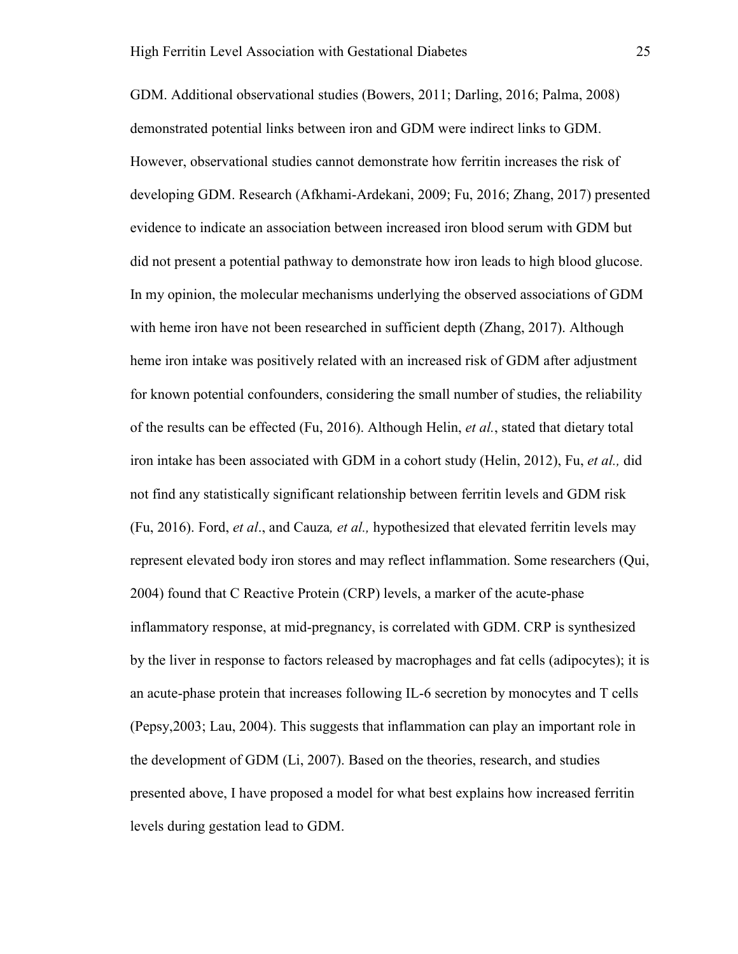GDM. Additional observational studies (Bowers, 2011; Darling, 2016; Palma, 2008) demonstrated potential links between iron and GDM were indirect links to GDM. However, observational studies cannot demonstrate how ferritin increases the risk of developing GDM. Research (Afkhami-Ardekani, 2009; Fu, 2016; Zhang, 2017) presented evidence to indicate an association between increased iron blood serum with GDM but did not present a potential pathway to demonstrate how iron leads to high blood glucose. In my opinion, the molecular mechanisms underlying the observed associations of GDM with heme iron have not been researched in sufficient depth (Zhang, 2017). Although heme iron intake was positively related with an increased risk of GDM after adjustment for known potential confounders, considering the small number of studies, the reliability of the results can be effected (Fu, 2016). Although Helin, *et al.*, stated that dietary total iron intake has been associated with GDM in a cohort study (Helin, 2012), Fu, *et al.,* did not find any statistically significant relationship between ferritin levels and GDM risk (Fu, 2016). Ford, *et al*., and Cauza*, et al.,* hypothesized that elevated ferritin levels may represent elevated body iron stores and may reflect inflammation. Some researchers (Qui, 2004) found that C Reactive Protein (CRP) levels, a marker of the acute-phase inflammatory response, at mid-pregnancy, is correlated with GDM. CRP is synthesized by the liver in response to factors released by macrophages and fat cells (adipocytes); it is an acute-phase protein that increases following IL-6 secretion by monocytes and T cells (Pepsy,2003; Lau, 2004). This suggests that inflammation can play an important role in the development of GDM (Li, 2007). Based on the theories, research, and studies presented above, I have proposed a model for what best explains how increased ferritin levels during gestation lead to GDM.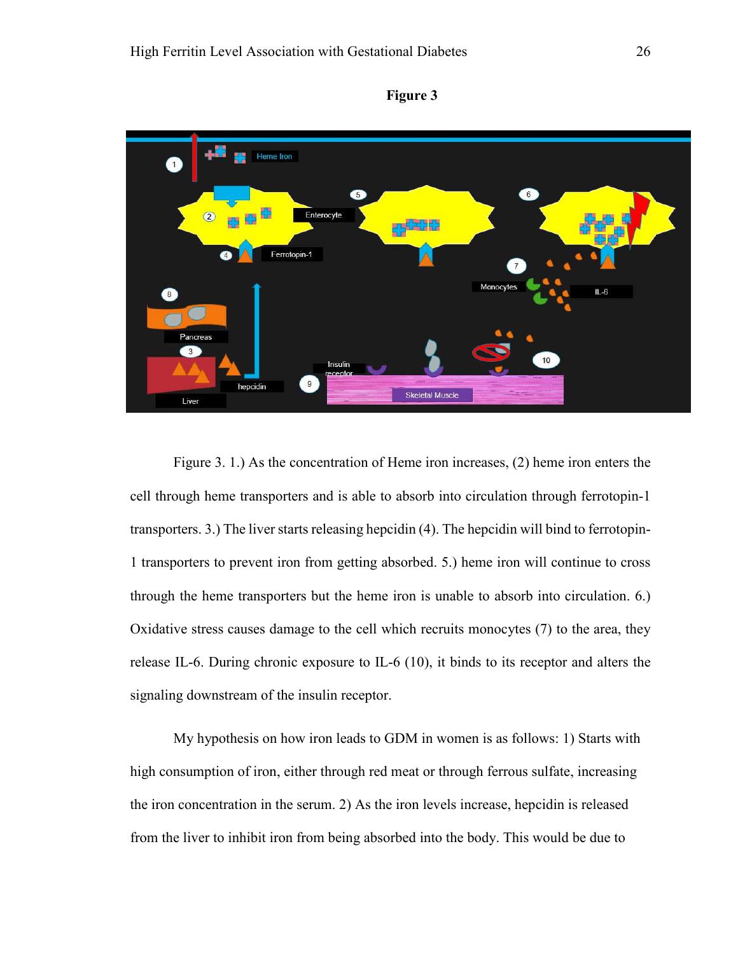



Figure 3. 1.) As the concentration of Heme iron increases, (2) heme iron enters the cell through heme transporters and is able to absorb into circulation through ferrotopin-1 transporters. 3.) The liver starts releasing hepcidin (4). The hepcidin will bind to ferrotopin-1 transporters to prevent iron from getting absorbed. 5.) heme iron will continue to cross through the heme transporters but the heme iron is unable to absorb into circulation. 6.) Oxidative stress causes damage to the cell which recruits monocytes (7) to the area, they release IL-6. During chronic exposure to IL-6 (10), it binds to its receptor and alters the signaling downstream of the insulin receptor.

My hypothesis on how iron leads to GDM in women is as follows: 1) Starts with high consumption of iron, either through red meat or through ferrous sulfate, increasing the iron concentration in the serum. 2) As the iron levels increase, hepcidin is released from the liver to inhibit iron from being absorbed into the body. This would be due to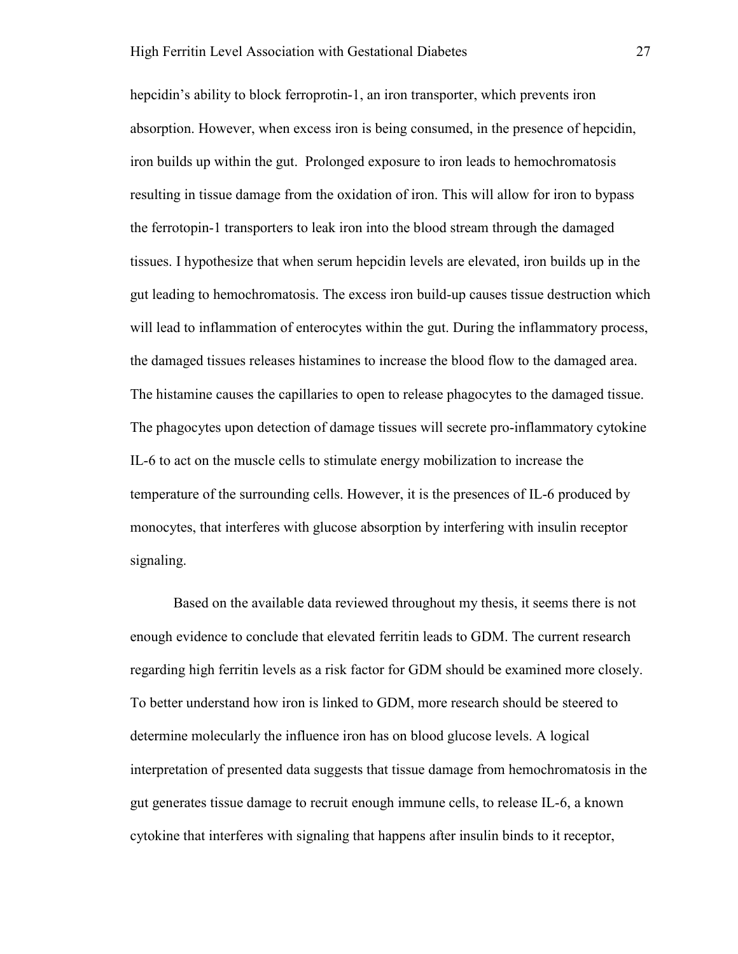hepcidin's ability to block ferroprotin-1, an iron transporter, which prevents iron absorption. However, when excess iron is being consumed, in the presence of hepcidin, iron builds up within the gut. Prolonged exposure to iron leads to hemochromatosis resulting in tissue damage from the oxidation of iron. This will allow for iron to bypass the ferrotopin-1 transporters to leak iron into the blood stream through the damaged tissues. I hypothesize that when serum hepcidin levels are elevated, iron builds up in the gut leading to hemochromatosis. The excess iron build-up causes tissue destruction which will lead to inflammation of enterocytes within the gut. During the inflammatory process, the damaged tissues releases histamines to increase the blood flow to the damaged area. The histamine causes the capillaries to open to release phagocytes to the damaged tissue. The phagocytes upon detection of damage tissues will secrete pro-inflammatory cytokine IL-6 to act on the muscle cells to stimulate energy mobilization to increase the temperature of the surrounding cells. However, it is the presences of IL-6 produced by monocytes, that interferes with glucose absorption by interfering with insulin receptor signaling.

Based on the available data reviewed throughout my thesis, it seems there is not enough evidence to conclude that elevated ferritin leads to GDM. The current research regarding high ferritin levels as a risk factor for GDM should be examined more closely. To better understand how iron is linked to GDM, more research should be steered to determine molecularly the influence iron has on blood glucose levels. A logical interpretation of presented data suggests that tissue damage from hemochromatosis in the gut generates tissue damage to recruit enough immune cells, to release IL-6, a known cytokine that interferes with signaling that happens after insulin binds to it receptor,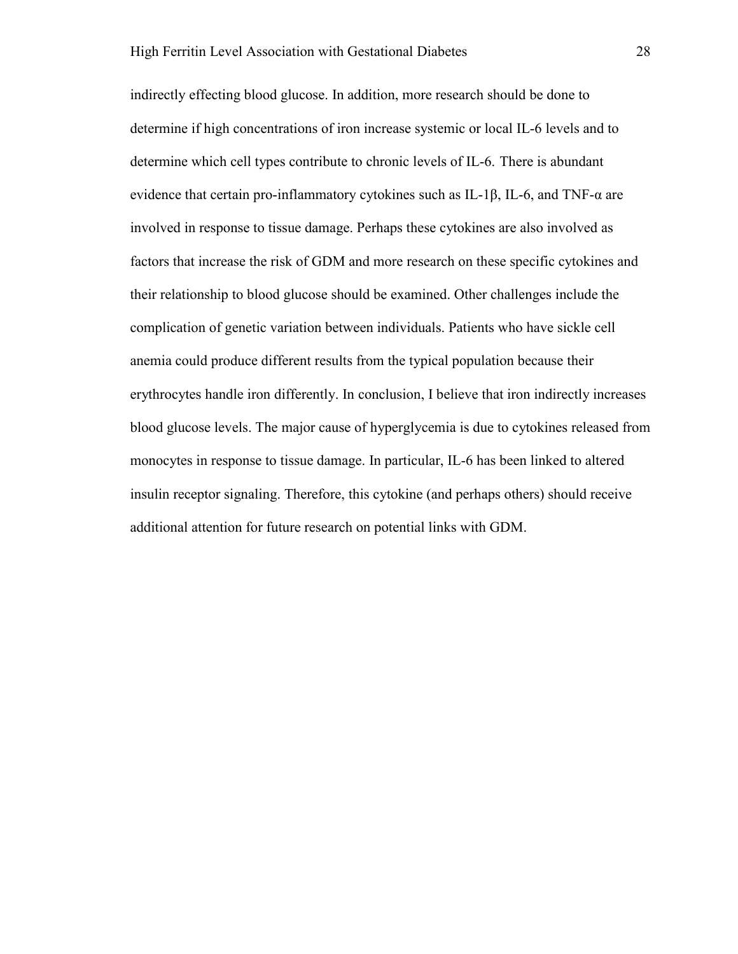indirectly effecting blood glucose. In addition, more research should be done to determine if high concentrations of iron increase systemic or local IL-6 levels and to determine which cell types contribute to chronic levels of IL-6. There is abundant evidence that certain pro-inflammatory cytokines such as IL-1β, IL-6, and TNF- $\alpha$  are involved in response to tissue damage. Perhaps these cytokines are also involved as factors that increase the risk of GDM and more research on these specific cytokines and their relationship to blood glucose should be examined. Other challenges include the complication of genetic variation between individuals. Patients who have sickle cell anemia could produce different results from the typical population because their erythrocytes handle iron differently. In conclusion, I believe that iron indirectly increases blood glucose levels. The major cause of hyperglycemia is due to cytokines released from monocytes in response to tissue damage. In particular, IL-6 has been linked to altered insulin receptor signaling. Therefore, this cytokine (and perhaps others) should receive additional attention for future research on potential links with GDM.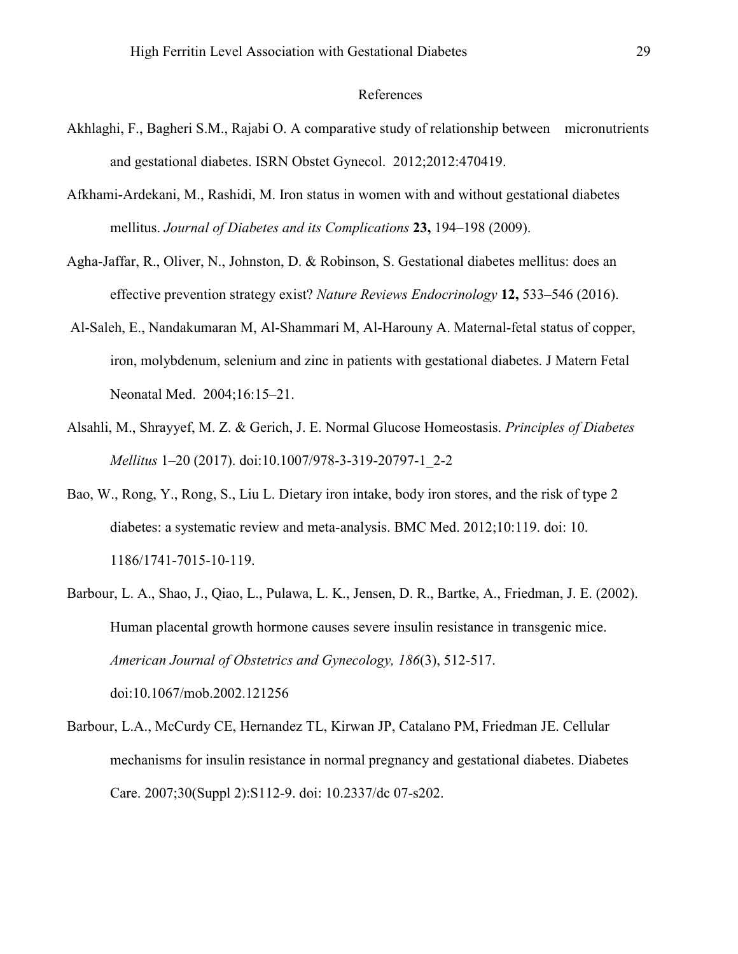## References

- Akhlaghi, F., Bagheri S.M., Rajabi O. A comparative study of relationship between micronutrients and gestational diabetes. ISRN Obstet Gynecol. 2012;2012:470419.
- Afkhami-Ardekani, M., Rashidi, M. Iron status in women with and without gestational diabetes mellitus. *Journal of Diabetes and its Complications* **23,** 194–198 (2009).
- Agha-Jaffar, R., Oliver, N., Johnston, D. & Robinson, S. Gestational diabetes mellitus: does an effective prevention strategy exist? *Nature Reviews Endocrinology* **12,** 533–546 (2016).
- Al-Saleh, E., Nandakumaran M, Al-Shammari M, Al-Harouny A. Maternal-fetal status of copper, iron, molybdenum, selenium and zinc in patients with gestational diabetes. J Matern Fetal Neonatal Med. 2004;16:15–21.
- Alsahli, M., Shrayyef, M. Z. & Gerich, J. E. Normal Glucose Homeostasis. *Principles of Diabetes Mellitus* 1–20 (2017). doi:10.1007/978-3-319-20797-1\_2-2
- Bao, W., Rong, Y., Rong, S., Liu L. Dietary iron intake, body iron stores, and the risk of type 2 diabetes: a systematic review and meta-analysis. BMC Med. 2012;10:119. doi: 10. 1186/1741-7015-10-119.
- Barbour, L. A., Shao, J., Qiao, L., Pulawa, L. K., Jensen, D. R., Bartke, A., Friedman, J. E. (2002). Human placental growth hormone causes severe insulin resistance in transgenic mice. *American Journal of Obstetrics and Gynecology, 186*(3), 512-517. doi:10.1067/mob.2002.121256
- Barbour, L.A., McCurdy CE, Hernandez TL, Kirwan JP, Catalano PM, Friedman JE. Cellular mechanisms for insulin resistance in normal pregnancy and gestational diabetes. Diabetes Care. 2007;30(Suppl 2):S112-9. doi: 10.2337/dc 07-s202.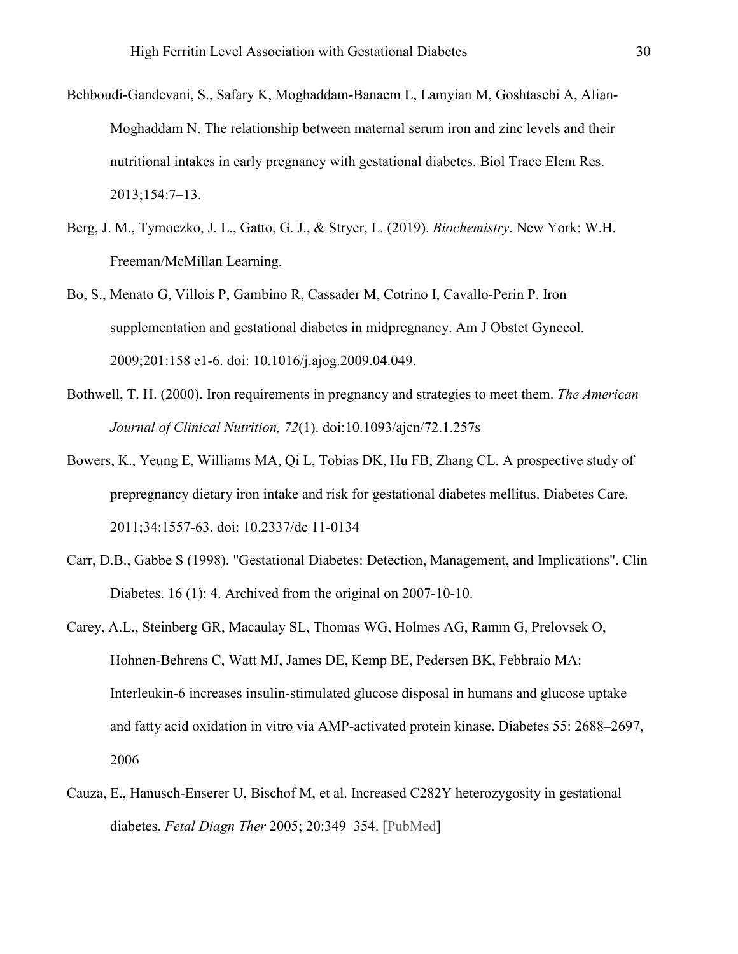- Behboudi-Gandevani, S., Safary K, Moghaddam-Banaem L, Lamyian M, Goshtasebi A, Alian-Moghaddam N. The relationship between maternal serum iron and zinc levels and their nutritional intakes in early pregnancy with gestational diabetes. Biol Trace Elem Res. 2013;154:7–13.
- Berg, J. M., Tymoczko, J. L., Gatto, G. J., & Stryer, L. (2019). *Biochemistry*. New York: W.H. Freeman/McMillan Learning.
- Bo, S., Menato G, Villois P, Gambino R, Cassader M, Cotrino I, Cavallo-Perin P. Iron supplementation and gestational diabetes in midpregnancy. Am J Obstet Gynecol. 2009;201:158 e1-6. doi: 10.1016/j.ajog.2009.04.049.
- Bothwell, T. H. (2000). Iron requirements in pregnancy and strategies to meet them. *The American Journal of Clinical Nutrition, 72*(1). doi:10.1093/ajcn/72.1.257s
- Bowers, K., Yeung E, Williams MA, Qi L, Tobias DK, Hu FB, Zhang CL. A prospective study of prepregnancy dietary iron intake and risk for gestational diabetes mellitus. Diabetes Care. 2011;34:1557-63. doi: 10.2337/dc 11-0134
- Carr, D.B., Gabbe S (1998). "Gestational Diabetes: Detection, Management, and Implications". Clin Diabetes. 16 (1): 4. Archived from the original on 2007-10-10.
- Carey, A.L., Steinberg GR, Macaulay SL, Thomas WG, Holmes AG, Ramm G, Prelovsek O, Hohnen-Behrens C, Watt MJ, James DE, Kemp BE, Pedersen BK, Febbraio MA: Interleukin-6 increases insulin-stimulated glucose disposal in humans and glucose uptake and fatty acid oxidation in vitro via AMP-activated protein kinase. Diabetes 55: 2688–2697, 2006
- Cauza, E., Hanusch-Enserer U, Bischof M, et al. Increased C282Y heterozygosity in gestational diabetes. *Fetal Diagn Ther* 2005; 20:349–354. [PubMed]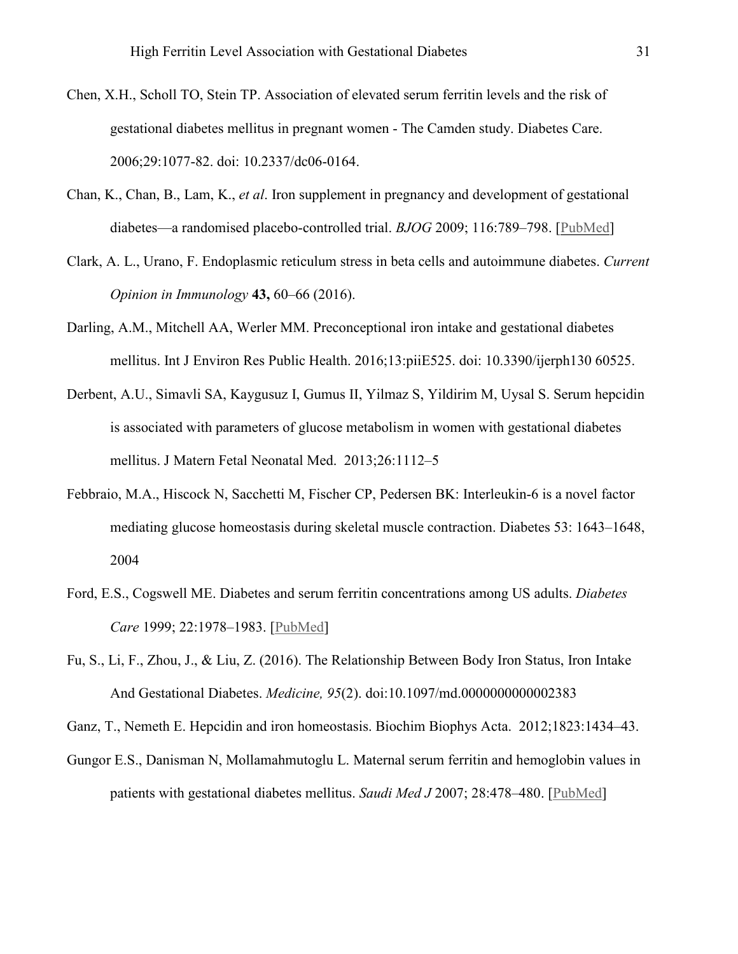- Chen, X.H., Scholl TO, Stein TP. Association of elevated serum ferritin levels and the risk of gestational diabetes mellitus in pregnant women - The Camden study. Diabetes Care. 2006;29:1077-82. doi: 10.2337/dc06-0164.
- Chan, K., Chan, B., Lam, K., *et al*. Iron supplement in pregnancy and development of gestational diabetes—a randomised placebo-controlled trial. *BJOG* 2009; 116:789–798. [PubMed]
- Clark, A. L., Urano, F. Endoplasmic reticulum stress in beta cells and autoimmune diabetes. *Current Opinion in Immunology* **43,** 60–66 (2016).
- Darling, A.M., Mitchell AA, Werler MM. Preconceptional iron intake and gestational diabetes mellitus. Int J Environ Res Public Health. 2016;13:piiE525. doi: 10.3390/ijerph130 60525.
- Derbent, A.U., Simavli SA, Kaygusuz I, Gumus II, Yilmaz S, Yildirim M, Uysal S. Serum hepcidin is associated with parameters of glucose metabolism in women with gestational diabetes mellitus. J Matern Fetal Neonatal Med. 2013;26:1112–5
- Febbraio, M.A., Hiscock N, Sacchetti M, Fischer CP, Pedersen BK: Interleukin-6 is a novel factor mediating glucose homeostasis during skeletal muscle contraction. Diabetes 53: 1643–1648, 2004
- Ford, E.S., Cogswell ME. Diabetes and serum ferritin concentrations among US adults. *Diabetes Care* 1999; 22:1978–1983. [PubMed]
- Fu, S., Li, F., Zhou, J., & Liu, Z. (2016). The Relationship Between Body Iron Status, Iron Intake And Gestational Diabetes. *Medicine, 95*(2). doi:10.1097/md.0000000000002383

Ganz, T., Nemeth E. Hepcidin and iron homeostasis. Biochim Biophys Acta. 2012;1823:1434–43.

Gungor E.S., Danisman N, Mollamahmutoglu L. Maternal serum ferritin and hemoglobin values in patients with gestational diabetes mellitus. *Saudi Med J* 2007; 28:478–480. [PubMed]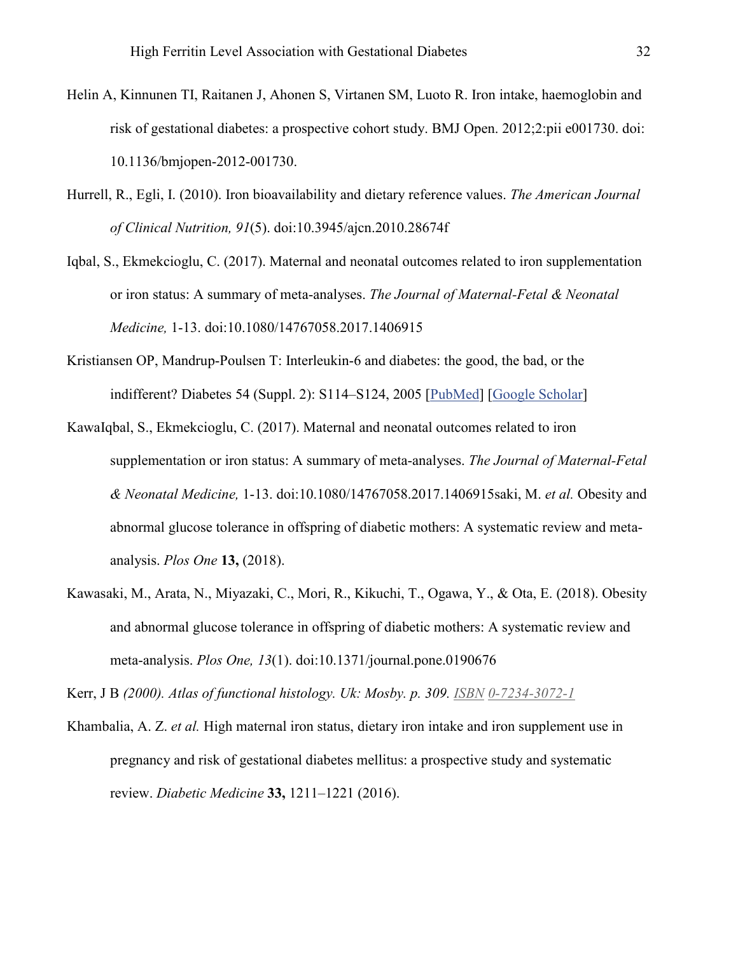- Helin A, Kinnunen TI, Raitanen J, Ahonen S, Virtanen SM, Luoto R. Iron intake, haemoglobin and risk of gestational diabetes: a prospective cohort study. BMJ Open. 2012;2:pii e001730. doi: 10.1136/bmjopen-2012-001730.
- Hurrell, R., Egli, I. (2010). Iron bioavailability and dietary reference values. *The American Journal of Clinical Nutrition, 91*(5). doi:10.3945/ajcn.2010.28674f
- Iqbal, S., Ekmekcioglu, C. (2017). Maternal and neonatal outcomes related to iron supplementation or iron status: A summary of meta-analyses. *The Journal of Maternal-Fetal & Neonatal Medicine,* 1-13. doi:10.1080/14767058.2017.1406915
- Kristiansen OP, Mandrup-Poulsen T: Interleukin-6 and diabetes: the good, the bad, or the indifferent? Diabetes 54 (Suppl. 2): S114–S124, 2005 [PubMed] [Google Scholar]
- KawaIqbal, S., Ekmekcioglu, C. (2017). Maternal and neonatal outcomes related to iron supplementation or iron status: A summary of meta-analyses. *The Journal of Maternal-Fetal & Neonatal Medicine,* 1-13. doi:10.1080/14767058.2017.1406915saki, M. *et al.* Obesity and abnormal glucose tolerance in offspring of diabetic mothers: A systematic review and metaanalysis. *Plos One* **13,** (2018).
- Kawasaki, M., Arata, N., Miyazaki, C., Mori, R., Kikuchi, T., Ogawa, Y., & Ota, E. (2018). Obesity and abnormal glucose tolerance in offspring of diabetic mothers: A systematic review and meta-analysis. *Plos One, 13*(1). doi:10.1371/journal.pone.0190676

Kerr, J B *(2000). Atlas of functional histology. Uk: Mosby. p. 309. ISBN 0-7234-3072-1*

Khambalia, A. Z. *et al.* High maternal iron status, dietary iron intake and iron supplement use in pregnancy and risk of gestational diabetes mellitus: a prospective study and systematic review. *Diabetic Medicine* **33,** 1211–1221 (2016).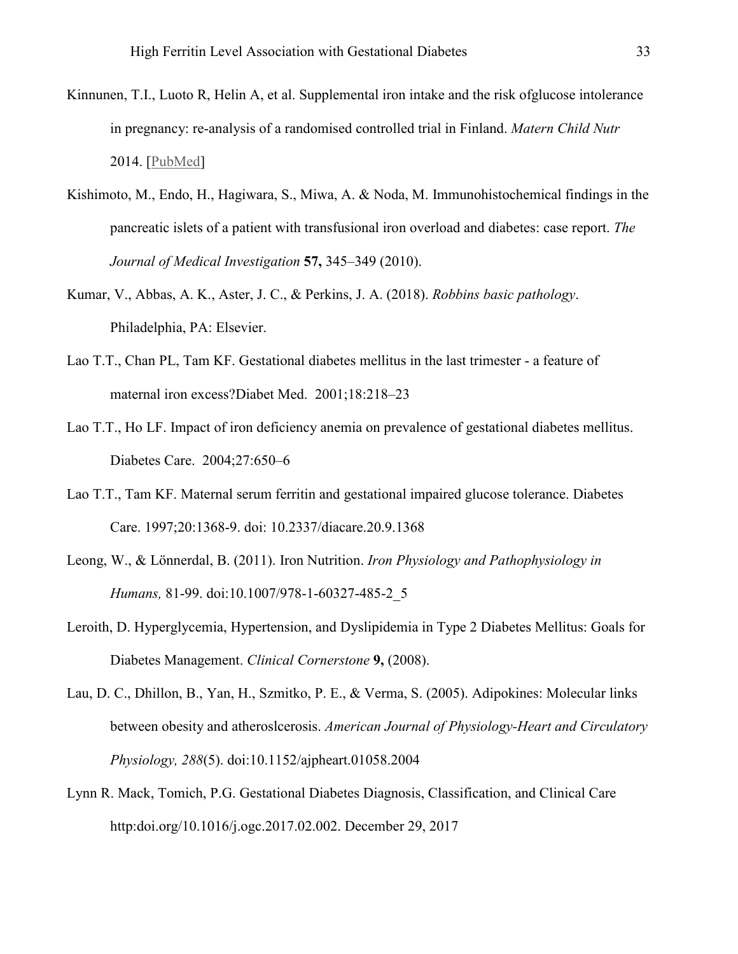- Kinnunen, T.I., Luoto R, Helin A, et al. Supplemental iron intake and the risk ofglucose intolerance in pregnancy: re-analysis of a randomised controlled trial in Finland. *Matern Child Nutr* 2014. [PubMed]
- Kishimoto, M., Endo, H., Hagiwara, S., Miwa, A. & Noda, M. Immunohistochemical findings in the pancreatic islets of a patient with transfusional iron overload and diabetes: case report. *The Journal of Medical Investigation* **57,** 345–349 (2010).
- Kumar, V., Abbas, A. K., Aster, J. C., & Perkins, J. A. (2018). *Robbins basic pathology*. Philadelphia, PA: Elsevier.
- Lao T.T., Chan PL, Tam KF. Gestational diabetes mellitus in the last trimester a feature of maternal iron excess?Diabet Med. 2001;18:218–23
- Lao T.T., Ho LF. Impact of iron deficiency anemia on prevalence of gestational diabetes mellitus. Diabetes Care. 2004;27:650–6
- Lao T.T., Tam KF. Maternal serum ferritin and gestational impaired glucose tolerance. Diabetes Care. 1997;20:1368-9. doi: 10.2337/diacare.20.9.1368
- Leong, W., & Lönnerdal, B. (2011). Iron Nutrition. *Iron Physiology and Pathophysiology in Humans,* 81-99. doi:10.1007/978-1-60327-485-2\_5
- Leroith, D. Hyperglycemia, Hypertension, and Dyslipidemia in Type 2 Diabetes Mellitus: Goals for Diabetes Management. *Clinical Cornerstone* **9,** (2008).
- Lau, D. C., Dhillon, B., Yan, H., Szmitko, P. E., & Verma, S. (2005). Adipokines: Molecular links between obesity and atheroslcerosis. *American Journal of Physiology-Heart and Circulatory Physiology, 288*(5). doi:10.1152/ajpheart.01058.2004
- Lynn R. Mack, Tomich, P.G. Gestational Diabetes Diagnosis, Classification, and Clinical Care http:doi.org/10.1016/j.ogc.2017.02.002. December 29, 2017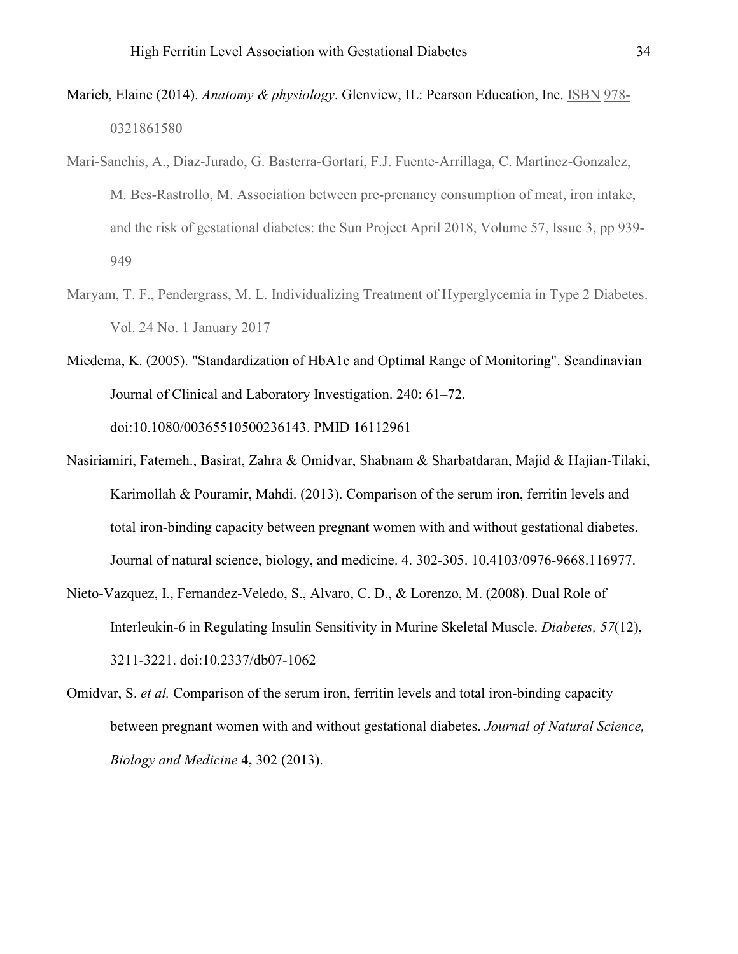- Marieb, Elaine (2014). *Anatomy & physiology*. Glenview, IL: Pearson Education, Inc. ISBN 978- 0321861580
- Mari-Sanchis, A., Diaz-Jurado, G. Basterra-Gortari, F.J. Fuente-Arrillaga, C. Martinez-Gonzalez, M. Bes-Rastrollo, M. Association between pre-prenancy consumption of meat, iron intake, and the risk of gestational diabetes: the Sun Project April 2018, Volume 57, Issue 3, pp 939- 949
- Maryam, T. F., Pendergrass, M. L. Individualizing Treatment of Hyperglycemia in Type 2 Diabetes. Vol. 24 No. 1 January 2017
- Miedema, K. (2005). "Standardization of HbA1c and Optimal Range of Monitoring". Scandinavian Journal of Clinical and Laboratory Investigation. 240: 61–72. doi:10.1080/00365510500236143. PMID 16112961
- Nasiriamiri, Fatemeh., Basirat, Zahra & Omidvar, Shabnam & Sharbatdaran, Majid & Hajian-Tilaki, Karimollah & Pouramir, Mahdi. (2013). Comparison of the serum iron, ferritin levels and total iron-binding capacity between pregnant women with and without gestational diabetes. Journal of natural science, biology, and medicine. 4. 302-305. 10.4103/0976-9668.116977.
- Nieto-Vazquez, I., Fernandez-Veledo, S., Alvaro, C. D., & Lorenzo, M. (2008). Dual Role of Interleukin-6 in Regulating Insulin Sensitivity in Murine Skeletal Muscle. *Diabetes, 57*(12), 3211-3221. doi:10.2337/db07-1062
- Omidvar, S. *et al.* Comparison of the serum iron, ferritin levels and total iron-binding capacity between pregnant women with and without gestational diabetes. *Journal of Natural Science, Biology and Medicine* **4,** 302 (2013).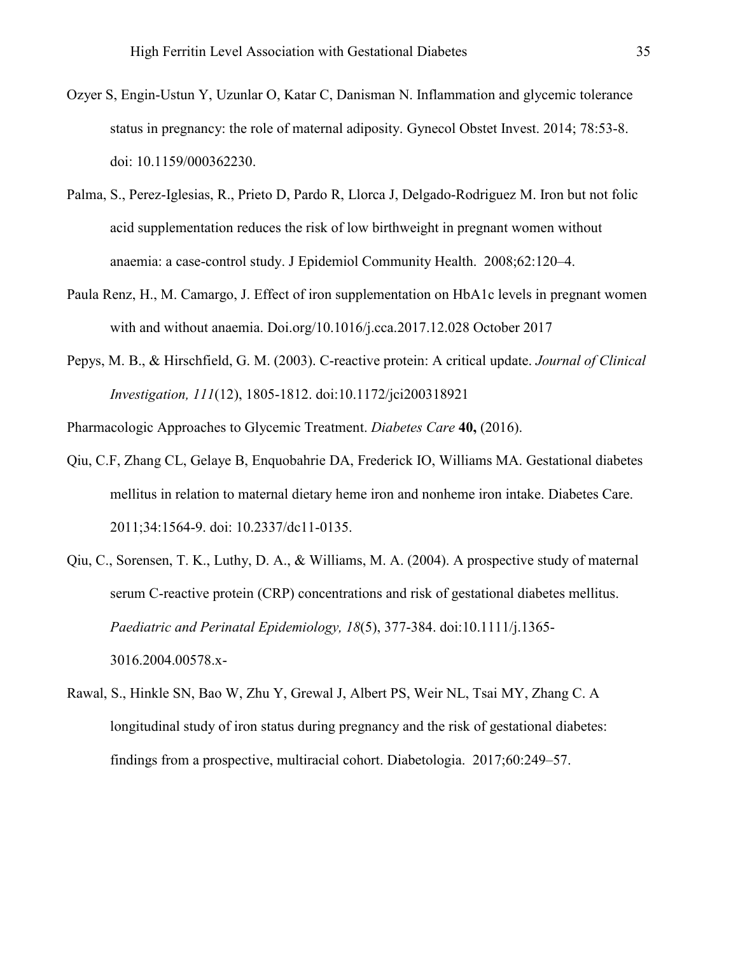- Ozyer S, Engin-Ustun Y, Uzunlar O, Katar C, Danisman N. Inflammation and glycemic tolerance status in pregnancy: the role of maternal adiposity. Gynecol Obstet Invest. 2014; 78:53-8. doi: 10.1159/000362230.
- Palma, S., Perez-Iglesias, R., Prieto D, Pardo R, Llorca J, Delgado-Rodriguez M. Iron but not folic acid supplementation reduces the risk of low birthweight in pregnant women without anaemia: a case-control study. J Epidemiol Community Health. 2008;62:120–4.
- Paula Renz, H., M. Camargo, J. Effect of iron supplementation on HbA1c levels in pregnant women with and without anaemia. Doi.org/10.1016/j.cca.2017.12.028 October 2017
- Pepys, M. B., & Hirschfield, G. M. (2003). C-reactive protein: A critical update. *Journal of Clinical Investigation, 111*(12), 1805-1812. doi:10.1172/jci200318921
- Pharmacologic Approaches to Glycemic Treatment. *Diabetes Care* **40,** (2016).
- Qiu, C.F, Zhang CL, Gelaye B, Enquobahrie DA, Frederick IO, Williams MA. Gestational diabetes mellitus in relation to maternal dietary heme iron and nonheme iron intake. Diabetes Care. 2011;34:1564-9. doi: 10.2337/dc11-0135.
- Qiu, C., Sorensen, T. K., Luthy, D. A., & Williams, M. A. (2004). A prospective study of maternal serum C-reactive protein (CRP) concentrations and risk of gestational diabetes mellitus. *Paediatric and Perinatal Epidemiology, 18*(5), 377-384. doi:10.1111/j.1365- 3016.2004.00578.x-
- Rawal, S., Hinkle SN, Bao W, Zhu Y, Grewal J, Albert PS, Weir NL, Tsai MY, Zhang C. A longitudinal study of iron status during pregnancy and the risk of gestational diabetes: findings from a prospective, multiracial cohort. Diabetologia. 2017;60:249–57.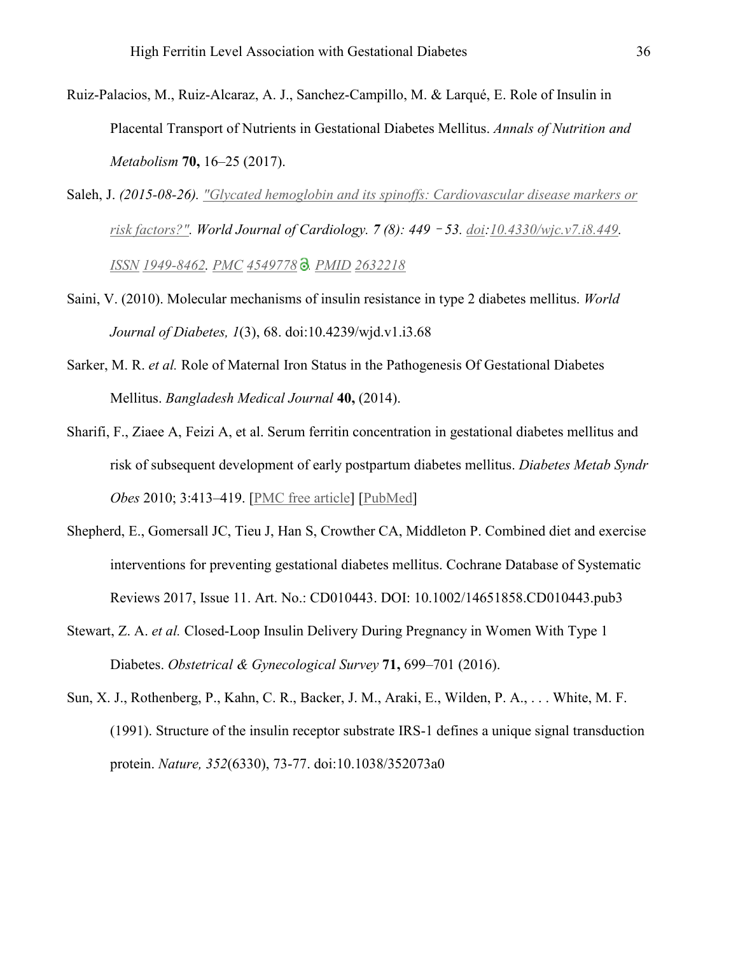- Ruiz-Palacios, M., Ruiz-Alcaraz, A. J., Sanchez-Campillo, M. & Larqué, E. Role of Insulin in Placental Transport of Nutrients in Gestational Diabetes Mellitus. *Annals of Nutrition and Metabolism* **70,** 16–25 (2017).
- Saleh, J. *(2015-08-26). "Glycated hemoglobin and its spinoffs: Cardiovascular disease markers or risk factors?". World Journal of Cardiology. 7 (8): 449*–*53. doi:10.4330/wjc.v7.i8.449. ISSN 1949-8462. PMC 4549778  . PMID 2632218*
- Saini, V. (2010). Molecular mechanisms of insulin resistance in type 2 diabetes mellitus. *World Journal of Diabetes, 1*(3), 68. doi:10.4239/wjd.v1.i3.68
- Sarker, M. R. *et al.* Role of Maternal Iron Status in the Pathogenesis Of Gestational Diabetes Mellitus. *Bangladesh Medical Journal* **40,** (2014).
- Sharifi, F., Ziaee A, Feizi A, et al. Serum ferritin concentration in gestational diabetes mellitus and risk of subsequent development of early postpartum diabetes mellitus. *Diabetes Metab Syndr Obes* 2010; 3:413–419. [PMC free article] [PubMed]
- Shepherd, E., Gomersall JC, Tieu J, Han S, Crowther CA, Middleton P. Combined diet and exercise interventions for preventing gestational diabetes mellitus. Cochrane Database of Systematic Reviews 2017, Issue 11. Art. No.: CD010443. DOI: 10.1002/14651858.CD010443.pub3
- Stewart, Z. A. *et al.* Closed-Loop Insulin Delivery During Pregnancy in Women With Type 1 Diabetes. *Obstetrical & Gynecological Survey* **71,** 699–701 (2016).
- Sun, X. J., Rothenberg, P., Kahn, C. R., Backer, J. M., Araki, E., Wilden, P. A., . . . White, M. F. (1991). Structure of the insulin receptor substrate IRS-1 defines a unique signal transduction protein. *Nature, 352*(6330), 73-77. doi:10.1038/352073a0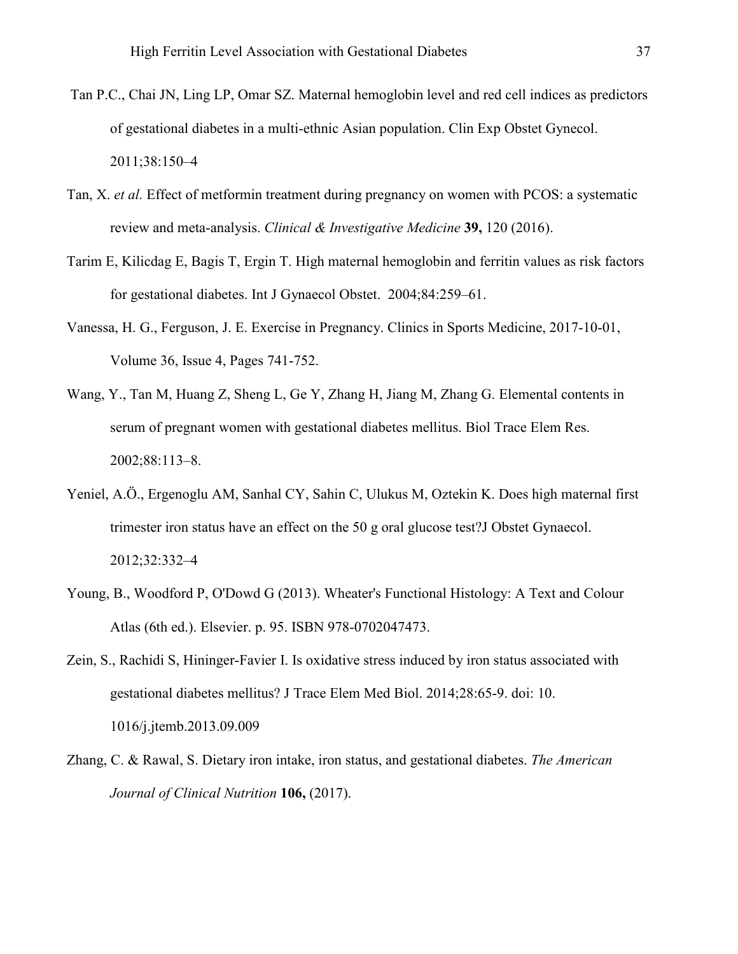- Tan P.C., Chai JN, Ling LP, Omar SZ. Maternal hemoglobin level and red cell indices as predictors of gestational diabetes in a multi-ethnic Asian population. Clin Exp Obstet Gynecol. 2011;38:150–4
- Tan, X. *et al.* Effect of metformin treatment during pregnancy on women with PCOS: a systematic review and meta-analysis. *Clinical & Investigative Medicine* **39,** 120 (2016).
- Tarim E, Kilicdag E, Bagis T, Ergin T. High maternal hemoglobin and ferritin values as risk factors for gestational diabetes. Int J Gynaecol Obstet. 2004;84:259–61.
- Vanessa, H. G., Ferguson, J. E. Exercise in Pregnancy. Clinics in Sports Medicine, 2017-10-01, Volume 36, Issue 4, Pages 741-752.
- Wang, Y., Tan M, Huang Z, Sheng L, Ge Y, Zhang H, Jiang M, Zhang G. Elemental contents in serum of pregnant women with gestational diabetes mellitus. Biol Trace Elem Res. 2002;88:113–8.
- Yeniel, A.Ö., Ergenoglu AM, Sanhal CY, Sahin C, Ulukus M, Oztekin K. Does high maternal first trimester iron status have an effect on the 50 g oral glucose test?J Obstet Gynaecol. 2012;32:332–4
- Young, B., Woodford P, O'Dowd G (2013). Wheater's Functional Histology: A Text and Colour Atlas (6th ed.). Elsevier. p. 95. ISBN 978-0702047473.
- Zein, S., Rachidi S, Hininger-Favier I. Is oxidative stress induced by iron status associated with gestational diabetes mellitus? J Trace Elem Med Biol. 2014;28:65-9. doi: 10. 1016/j.jtemb.2013.09.009
- Zhang, C. & Rawal, S. Dietary iron intake, iron status, and gestational diabetes. *The American Journal of Clinical Nutrition* **106,** (2017).